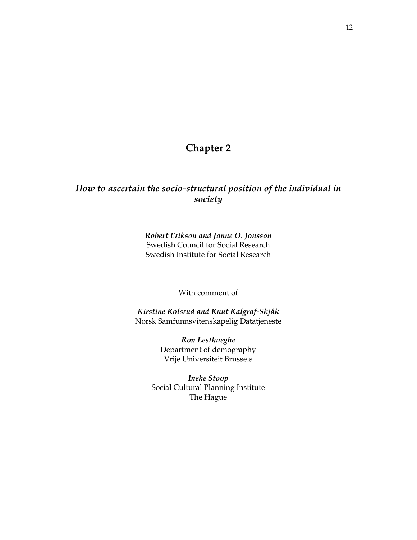# **Chapter 2**

# *How to ascertain the socio-structural position of the individual in society*

*Robert Erikson and Janne O. Jonsson*  Swedish Council for Social Research Swedish Institute for Social Research

With comment of

*Kirstine Kolsrud and Knut Kalgraf-Skjåk*  Norsk Samfunnsvitenskapelig Datatjeneste

> *Ron Lesthaeghe*  Department of demography Vrije Universiteit Brussels

*Ineke Stoop*  Social Cultural Planning Institute The Hague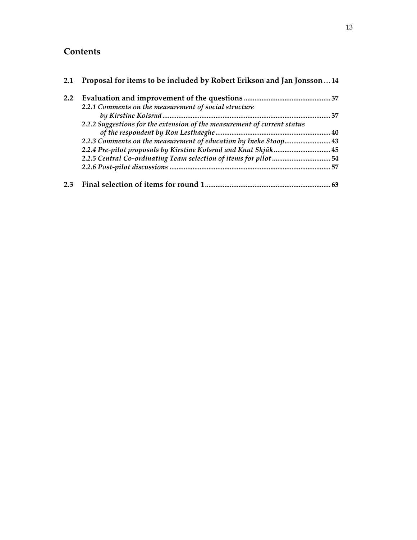# **Contents**

| 2.1           | Proposal for items to be included by Robert Erikson and Jan Jonsson 14   |      |
|---------------|--------------------------------------------------------------------------|------|
| $2.2^{\circ}$ |                                                                          |      |
|               | 2.2.1 Comments on the measurement of social structure                    |      |
|               |                                                                          | . 37 |
|               | 2.2.2 Suggestions for the extension of the measurement of current status |      |
|               |                                                                          |      |
|               | 2.2.3 Comments on the measurement of education by Ineke Stoop 43         |      |
|               |                                                                          |      |
|               | 2.2.5 Central Co-ordinating Team selection of items for pilot 54         |      |
|               |                                                                          |      |
| 2.3           |                                                                          | 63   |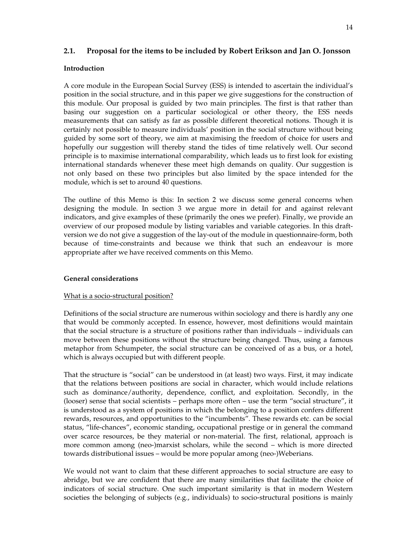# **2.1. Proposal for the items to be included by Robert Erikson and Jan O. Jonsson**

### **Introduction**

A core module in the European Social Survey (ESS) is intended to ascertain the individual's position in the social structure, and in this paper we give suggestions for the construction of this module. Our proposal is guided by two main principles. The first is that rather than basing our suggestion on a particular sociological or other theory, the ESS needs measurements that can satisfy as far as possible different theoretical notions. Though it is certainly not possible to measure individuals' position in the social structure without being guided by some sort of theory, we aim at maximising the freedom of choice for users and hopefully our suggestion will thereby stand the tides of time relatively well. Our second principle is to maximise international comparability, which leads us to first look for existing international standards whenever these meet high demands on quality. Our suggestion is not only based on these two principles but also limited by the space intended for the module, which is set to around 40 questions.

The outline of this Memo is this: In section 2 we discuss some general concerns when designing the module. In section 3 we argue more in detail for and against relevant indicators, and give examples of these (primarily the ones we prefer). Finally, we provide an overview of our proposed module by listing variables and variable categories. In this draftversion we do not give a suggestion of the lay-out of the module in questionnaire-form, both because of time-constraints and because we think that such an endeavour is more appropriate after we have received comments on this Memo.

# **General considerations**

#### What is a socio-structural position?

Definitions of the social structure are numerous within sociology and there is hardly any one that would be commonly accepted. In essence, however, most definitions would maintain that the social structure is a structure of positions rather than individuals – individuals can move between these positions without the structure being changed. Thus, using a famous metaphor from Schumpeter, the social structure can be conceived of as a bus, or a hotel, which is always occupied but with different people.

That the structure is "social" can be understood in (at least) two ways. First, it may indicate that the relations between positions are social in character, which would include relations such as dominance/authority, dependence, conflict, and exploitation. Secondly, in the (looser) sense that social scientists – perhaps more often – use the term "social structure", it is understood as a system of positions in which the belonging to a position confers different rewards, resources, and opportunities to the "incumbents". These rewards etc. can be social status, "life-chances", economic standing, occupational prestige or in general the command over scarce resources, be they material or non-material. The first, relational, approach is more common among (neo-)marxist scholars, while the second – which is more directed towards distributional issues – would be more popular among (neo-)Weberians.

We would not want to claim that these different approaches to social structure are easy to abridge, but we are confident that there are many similarities that facilitate the choice of indicators of social structure. One such important similarity is that in modern Western societies the belonging of subjects (e.g., individuals) to socio-structural positions is mainly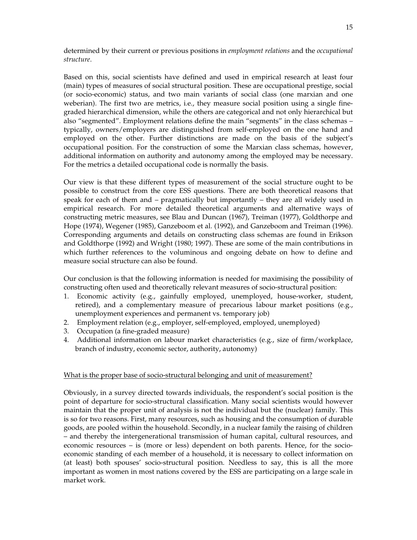determined by their current or previous positions in *employment relations* and the *occupational structure*.

Based on this, social scientists have defined and used in empirical research at least four (main) types of measures of social structural position. These are occupational prestige, social (or socio-economic) status, and two main variants of social class (one marxian and one weberian). The first two are metrics, i.e., they measure social position using a single finegraded hierarchical dimension, while the others are categorical and not only hierarchical but also "segmented". Employment relations define the main "segments" in the class schemas – typically, owners/employers are distinguished from self-employed on the one hand and employed on the other. Further distinctions are made on the basis of the subject's occupational position. For the construction of some the Marxian class schemas, however, additional information on authority and autonomy among the employed may be necessary. For the metrics a detailed occupational code is normally the basis.

Our view is that these different types of measurement of the social structure ought to be possible to construct from the core ESS questions. There are both theoretical reasons that speak for each of them and – pragmatically but importantly – they are all widely used in empirical research. For more detailed theoretical arguments and alternative ways of constructing metric measures, see Blau and Duncan (1967), Treiman (1977), Goldthorpe and Hope (1974), Wegener (1985), Ganzeboom et al. (1992), and Ganzeboom and Treiman (1996). Corresponding arguments and details on constructing class schemas are found in Erikson and Goldthorpe (1992) and Wright (1980; 1997). These are some of the main contributions in which further references to the voluminous and ongoing debate on how to define and measure social structure can also be found.

Our conclusion is that the following information is needed for maximising the possibility of constructing often used and theoretically relevant measures of socio-structural position:

- 1. Economic activity (e.g., gainfully employed, unemployed, house-worker, student, retired), and a complementary measure of precarious labour market positions (e.g., unemployment experiences and permanent vs. temporary job)
- 2. Employment relation (e.g., employer, self-employed, employed, unemployed)
- 3. Occupation (a fine-graded measure)
- 4. Additional information on labour market characteristics (e.g., size of firm/workplace, branch of industry, economic sector, authority, autonomy)

#### What is the proper base of socio-structural belonging and unit of measurement?

Obviously, in a survey directed towards individuals, the respondent's social position is the point of departure for socio-structural classification. Many social scientists would however maintain that the proper unit of analysis is not the individual but the (nuclear) family. This is so for two reasons. First, many resources, such as housing and the consumption of durable goods, are pooled within the household. Secondly, in a nuclear family the raising of children – and thereby the intergenerational transmission of human capital, cultural resources, and economic resources – is (more or less) dependent on both parents. Hence, for the socioeconomic standing of each member of a household, it is necessary to collect information on (at least) both spouses' socio-structural position. Needless to say, this is all the more important as women in most nations covered by the ESS are participating on a large scale in market work.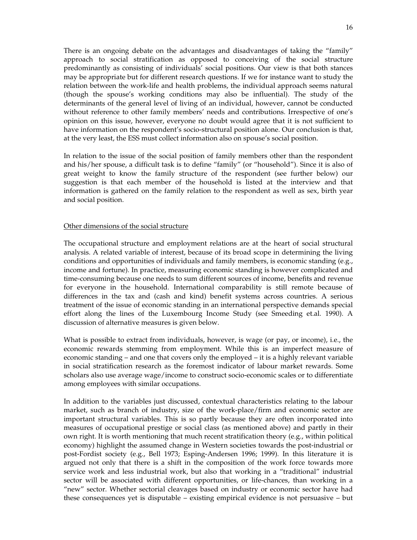There is an ongoing debate on the advantages and disadvantages of taking the "family" approach to social stratification as opposed to conceiving of the social structure predominantly as consisting of individuals' social positions. Our view is that both stances may be appropriate but for different research questions. If we for instance want to study the relation between the work-life and health problems, the individual approach seems natural (though the spouse's working conditions may also be influential). The study of the determinants of the general level of living of an individual, however, cannot be conducted without reference to other family members' needs and contributions. Irrespective of one's opinion on this issue, however, everyone no doubt would agree that it is not sufficient to have information on the respondent's socio-structural position alone. Our conclusion is that, at the very least, the ESS must collect information also on spouse's social position.

In relation to the issue of the social position of family members other than the respondent and his/her spouse, a difficult task is to define "family" (or "household"). Since it is also of great weight to know the family structure of the respondent (see further below) our suggestion is that each member of the household is listed at the interview and that information is gathered on the family relation to the respondent as well as sex, birth year and social position.

#### Other dimensions of the social structure

The occupational structure and employment relations are at the heart of social structural analysis. A related variable of interest, because of its broad scope in determining the living conditions and opportunities of individuals and family members, is economic standing (e.g., income and fortune). In practice, measuring economic standing is however complicated and time-consuming because one needs to sum different sources of income, benefits and revenue for everyone in the household. International comparability is still remote because of differences in the tax and (cash and kind) benefit systems across countries. A serious treatment of the issue of economic standing in an international perspective demands special effort along the lines of the Luxembourg Income Study (see Smeeding et.al. 1990). A discussion of alternative measures is given below.

What is possible to extract from individuals, however, is wage (or pay, or income), i.e., the economic rewards stemming from employment. While this is an imperfect measure of economic standing – and one that covers only the employed – it is a highly relevant variable in social stratification research as the foremost indicator of labour market rewards. Some scholars also use average wage/income to construct socio-economic scales or to differentiate among employees with similar occupations.

In addition to the variables just discussed, contextual characteristics relating to the labour market, such as branch of industry, size of the work-place/firm and economic sector are important structural variables. This is so partly because they are often incorporated into measures of occupational prestige or social class (as mentioned above) and partly in their own right. It is worth mentioning that much recent stratification theory (e.g., within political economy) highlight the assumed change in Western societies towards the post-industrial or post-Fordist society (e.g., Bell 1973; Esping-Andersen 1996; 1999). In this literature it is argued not only that there is a shift in the composition of the work force towards more service work and less industrial work, but also that working in a "traditional" industrial sector will be associated with different opportunities, or life-chances, than working in a "new" sector. Whether sectorial cleavages based on industry or economic sector have had these consequences yet is disputable – existing empirical evidence is not persuasive – but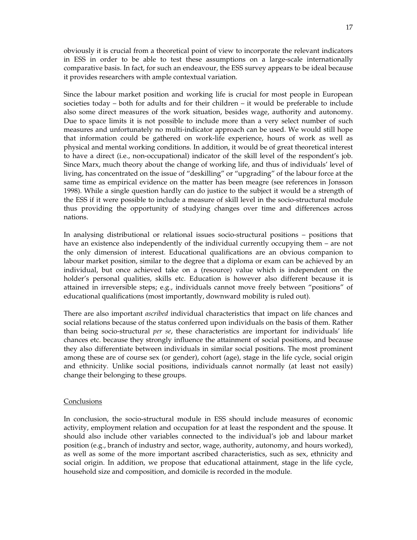obviously it is crucial from a theoretical point of view to incorporate the relevant indicators in ESS in order to be able to test these assumptions on a large-scale internationally comparative basis. In fact, for such an endeavour, the ESS survey appears to be ideal because it provides researchers with ample contextual variation.

Since the labour market position and working life is crucial for most people in European societies today – both for adults and for their children – it would be preferable to include also some direct measures of the work situation, besides wage, authority and autonomy. Due to space limits it is not possible to include more than a very select number of such measures and unfortunately no multi-indicator approach can be used. We would still hope that information could be gathered on work-life experience, hours of work as well as physical and mental working conditions. In addition, it would be of great theoretical interest to have a direct (i.e., non-occupational) indicator of the skill level of the respondent's job. Since Marx, much theory about the change of working life, and thus of individuals' level of living, has concentrated on the issue of "deskilling" or "upgrading" of the labour force at the same time as empirical evidence on the matter has been meagre (see references in Jonsson 1998). While a single question hardly can do justice to the subject it would be a strength of the ESS if it were possible to include a measure of skill level in the socio-structural module thus providing the opportunity of studying changes over time and differences across nations.

In analysing distributional or relational issues socio-structural positions – positions that have an existence also independently of the individual currently occupying them – are not the only dimension of interest. Educational qualifications are an obvious companion to labour market position, similar to the degree that a diploma or exam can be achieved by an individual, but once achieved take on a (resource) value which is independent on the holder's personal qualities, skills etc. Education is however also different because it is attained in irreversible steps; e.g., individuals cannot move freely between "positions" of educational qualifications (most importantly, downward mobility is ruled out).

There are also important *ascribed* individual characteristics that impact on life chances and social relations because of the status conferred upon individuals on the basis of them. Rather than being socio-structural *per se*, these characteristics are important for individuals' life chances etc. because they strongly influence the attainment of social positions, and because they also differentiate between individuals in similar social positions. The most prominent among these are of course sex (or gender), cohort (age), stage in the life cycle, social origin and ethnicity. Unlike social positions, individuals cannot normally (at least not easily) change their belonging to these groups.

#### **Conclusions**

In conclusion, the socio-structural module in ESS should include measures of economic activity, employment relation and occupation for at least the respondent and the spouse. It should also include other variables connected to the individual's job and labour market position (e.g., branch of industry and sector, wage, authority, autonomy, and hours worked), as well as some of the more important ascribed characteristics, such as sex, ethnicity and social origin. In addition, we propose that educational attainment, stage in the life cycle, household size and composition, and domicile is recorded in the module.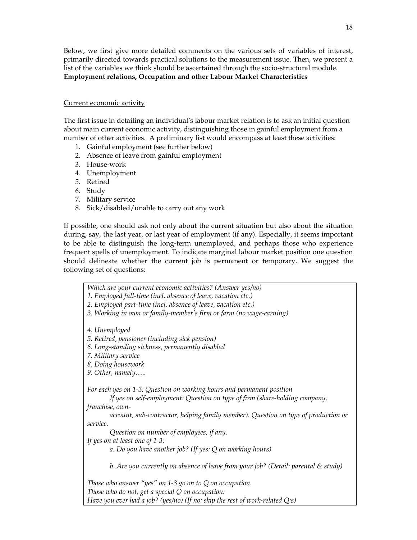Below, we first give more detailed comments on the various sets of variables of interest, primarily directed towards practical solutions to the measurement issue. Then, we present a list of the variables we think should be ascertained through the socio-structural module. **Employment relations, Occupation and other Labour Market Characteristics** 

### Current economic activity

The first issue in detailing an individual's labour market relation is to ask an initial question about main current economic activity, distinguishing those in gainful employment from a number of other activities. A preliminary list would encompass at least these activities:

- 1. Gainful employment (see further below)
- 2. Absence of leave from gainful employment
- 3. House-work
- 4. Unemployment
- 5. Retired
- 6. Study
- 7. Military service
- 8. Sick/disabled/unable to carry out any work

If possible, one should ask not only about the current situation but also about the situation during, say, the last year, or last year of employment (if any). Especially, it seems important to be able to distinguish the long-term unemployed, and perhaps those who experience frequent spells of unemployment. To indicate marginal labour market position one question should delineate whether the current job is permanent or temporary. We suggest the following set of questions:

*Which are your current economic activities? (Answer yes/no)* 

- *1. Employed full-time (incl. absence of leave, vacation etc.)*
- *2. Employed part-time (incl. absence of leave, vacation etc.)*
- *3. Working in own or family-member's firm or farm (no wage-earning)*

*4. Unemployed* 

- *5. Retired, pensioner (including sick pension)*
- *6. Long-standing sickness, permanently disabled*
- *7. Military service*
- *8. Doing housework*
- *9. Other, namely…..*

*For each yes on 1-3: Question on working hours and permanent position* 

*If yes on self-employment: Question on type of firm (share-holding company,* 

*franchise, own-*

*account, sub-contractor, helping family member). Question on type of production or service.* 

*Question on number of employees, if any.* 

*If yes on at least one of 1-3:* 

*a. Do you have another job? (If yes: Q on working hours)* 

*b. Are you currently on absence of leave from your job? (Detail: parental & study)* 

*Those who answer "yes" on 1-3 go on to Q on occupation. Those who do not, get a special Q on occupation: Have you ever had a job? (yes/no) (If no: skip the rest of work-related Q:s)*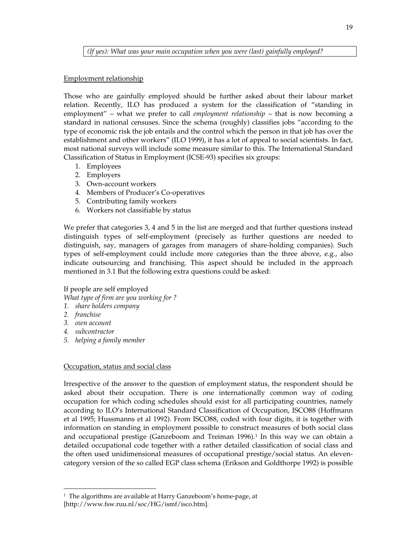*(If yes): What was your main occupation when you were (last) gainfully employed?* 

### Employment relationship

Those who are gainfully employed should be further asked about their labour market relation. Recently, ILO has produced a system for the classification of "standing in employment" – what we prefer to call *employment relationship* – that is now becoming a standard in national censuses. Since the schema (roughly) classifies jobs "according to the type of economic risk the job entails and the control which the person in that job has over the establishment and other workers" (ILO 1999), it has a lot of appeal to social scientists. In fact, most national surveys will include some measure similar to this. The International Standard Classification of Status in Employment (ICSE-93) specifies six groups:

- 1. Employees
- 2. Employers
- 3. Own-account workers
- 4. Members of Producer's Co-operatives
- 5. Contributing family workers
- 6. Workers not classifiable by status

We prefer that categories 3, 4 and 5 in the list are merged and that further questions instead distinguish types of self-employment (precisely as further questions are needed to distinguish, say, managers of garages from managers of share-holding companies). Such types of self-employment could include more categories than the three above, e.g., also indicate outsourcing and franchising. This aspect should be included in the approach mentioned in 3.1 But the following extra questions could be asked:

If people are self employed

*What type of firm are you working for ?* 

- *1. share holders company*
- *2. franchise*

-

- *3. own account*
- *4. subcontractor*
- *5. helping a family member*

# Occupation, status and social class

Irrespective of the answer to the question of employment status, the respondent should be asked about their occupation. There is one internationally common way of coding occupation for which coding schedules should exist for all participating countries, namely according to ILO's International Standard Classification of Occupation, ISCO88 (Hoffmann et al 1995; Hussmanns et al 1992). From ISCO88, coded with four digits, it is together with information on standing in employment possible to construct measures of both social class and occupational prestige (Ganzeboom and Treiman  $1996$ ).<sup>1</sup> In this way we can obtain a detailed occupational code together with a rather detailed classification of social class and the often used unidimensional measures of occupational prestige/social status. An elevencategory version of the so called EGP class schema (Erikson and Goldthorpe 1992) is possible

<sup>1</sup> The algorithms are available at Harry Ganzeboom's home-page, at [http://www.fsw.ruu.nl/soc/HG/ismf/isco.htm].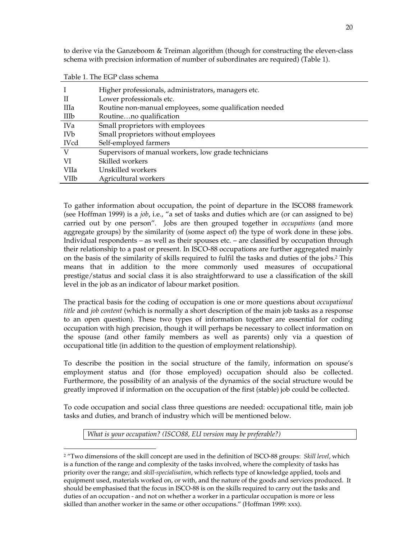to derive via the Ganzeboom & Treiman algorithm (though for constructing the eleven-class schema with precision information of number of subordinates are required) (Table 1).

|                       | Higher professionals, administrators, managers etc.     |
|-----------------------|---------------------------------------------------------|
| H                     | Lower professionals etc.                                |
| IIIa                  | Routine non-manual employees, some qualification needed |
| IIIb                  | Routineno qualification                                 |
| <b>IVa</b>            | Small proprietors with employees                        |
| <b>IV<sub>b</sub></b> | Small proprietors without employees                     |
| <b>IVcd</b>           | Self-employed farmers                                   |
| V                     | Supervisors of manual workers, low grade technicians    |
| VI                    | Skilled workers                                         |
| VIIa                  | Unskilled workers                                       |
| VIIb                  | Agricultural workers                                    |

Table 1. The EGP class schema

j

To gather information about occupation, the point of departure in the ISCO88 framework (see Hoffman 1999) is a *job*, i.e., "a set of tasks and duties which are (or can assigned to be) carried out by one person". Jobs are then grouped together in *occupations* (and more aggregate groups) by the similarity of (some aspect of) the type of work done in these jobs. Individual respondents – as well as their spouses etc. – are classified by occupation through their relationship to a past or present. In ISCO-88 occupations are further aggregated mainly on the basis of the similarity of skills required to fulfil the tasks and duties of the jobs.2 This means that in addition to the more commonly used measures of occupational prestige/status and social class it is also straightforward to use a classification of the skill level in the job as an indicator of labour market position.

The practical basis for the coding of occupation is one or more questions about *occupational title* and *job content* (which is normally a short description of the main job tasks as a response to an open question). These two types of information together are essential for coding occupation with high precision, though it will perhaps be necessary to collect information on the spouse (and other family members as well as parents) only via a question of occupational title (in addition to the question of employment relationship).

To describe the position in the social structure of the family, information on spouse's employment status and (for those employed) occupation should also be collected. Furthermore, the possibility of an analysis of the dynamics of the social structure would be greatly improved if information on the occupation of the first (stable) job could be collected.

To code occupation and social class three questions are needed: occupational title, main job tasks and duties, and branch of industry which will be mentioned below.

*What is your occupation? (ISCO88, EU version may be preferable?)* 

<sup>2</sup> "Two dimensions of the skill concept are used in the definition of ISCO-88 groups: *Skill level*, which is a function of the range and complexity of the tasks involved, where the complexity of tasks has priority over the range; and *skill-specialisation*, which reflects type of knowledge applied, tools and equipment used, materials worked on, or with, and the nature of the goods and services produced. It should be emphasised that the focus in ISCO-88 is on the skills required to carry out the tasks and duties of an occupation - and not on whether a worker in a particular occupation is more or less skilled than another worker in the same or other occupations." (Hoffman 1999: xxx).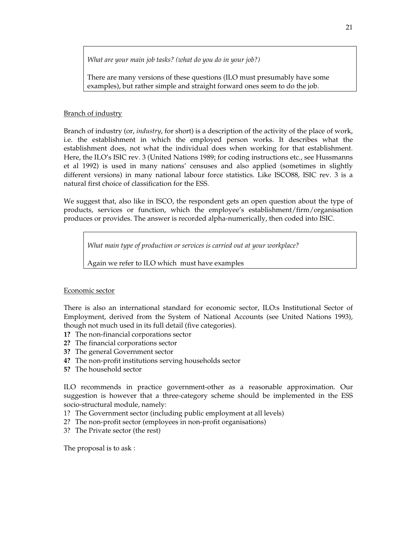*What are your main job tasks? (what do you do in your job?)* 

There are many versions of these questions (ILO must presumably have some examples), but rather simple and straight forward ones seem to do the job.

# Branch of industry

Branch of industry (or, *industry*, for short) is a description of the activity of the place of work, i.e. the establishment in which the employed person works. It describes what the establishment does, not what the individual does when working for that establishment. Here, the ILO's ISIC rev. 3 (United Nations 1989; for coding instructions etc., see Hussmanns et al 1992) is used in many nations' censuses and also applied (sometimes in slightly different versions) in many national labour force statistics. Like ISCO88, ISIC rev. 3 is a natural first choice of classification for the ESS.

We suggest that, also like in ISCO, the respondent gets an open question about the type of products, services or function, which the employee's establishment/firm/organisation produces or provides. The answer is recorded alpha-numerically, then coded into ISIC.

*What main type of production or services is carried out at your workplace?* 

Again we refer to ILO which must have examples

# Economic sector

There is also an international standard for economic sector, ILO:s Institutional Sector of Employment, derived from the System of National Accounts (see United Nations 1993), though not much used in its full detail (five categories).

- **1?** The non-financial corporations sector
- **2?** The financial corporations sector
- **3?** The general Government sector
- **4?** The non-profit institutions serving households sector
- **5?** The household sector

ILO recommends in practice government-other as a reasonable approximation. Our suggestion is however that a three-category scheme should be implemented in the ESS socio-structural module, namely:

- 1? The Government sector (including public employment at all levels)
- 2? The non-profit sector (employees in non-profit organisations)
- 3? The Private sector (the rest)

The proposal is to ask :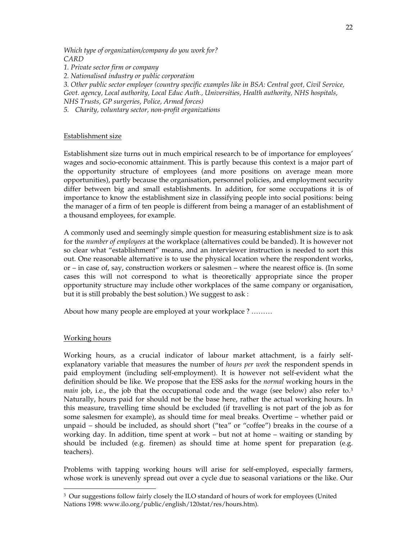*Which type of organization/company do you work for? CARD 1. Private sector firm or company 2. Nationalised industry or public corporation 3. Other public sector employer (country specific examples like in BSA: Central govt, Civil Service, Govt. agency, Local authority, Local Educ Auth., Universities, Health authority, NHS hospitals, NHS Trusts, GP surgeries, Police, Armed forces)* 

*5. Charity, voluntary sector, non-profit organizations*

#### Establishment size

Establishment size turns out in much empirical research to be of importance for employees' wages and socio-economic attainment. This is partly because this context is a major part of the opportunity structure of employees (and more positions on average mean more opportunities), partly because the organisation, personnel policies, and employment security differ between big and small establishments. In addition, for some occupations it is of importance to know the establishment size in classifying people into social positions: being the manager of a firm of ten people is different from being a manager of an establishment of a thousand employees, for example.

A commonly used and seemingly simple question for measuring establishment size is to ask for the *number of employees* at the workplace (alternatives could be banded). It is however not so clear what "establishment" means, and an interviewer instruction is needed to sort this out. One reasonable alternative is to use the physical location where the respondent works, or – in case of, say, construction workers or salesmen – where the nearest office is. (In some cases this will not correspond to what is theoretically appropriate since the proper opportunity structure may include other workplaces of the same company or organisation, but it is still probably the best solution.) We suggest to ask :

About how many people are employed at your workplace ? ………

#### Working hours

-

Working hours, as a crucial indicator of labour market attachment, is a fairly selfexplanatory variable that measures the number of *hours per week* the respondent spends in paid employment (including self-employment). It is however not self-evident what the definition should be like. We propose that the ESS asks for the *normal* working hours in the *main* job, i.e., the job that the occupational code and the wage (see below) also refer to.<sup>3</sup> Naturally, hours paid for should not be the base here, rather the actual working hours. In this measure, travelling time should be excluded (if travelling is not part of the job as for some salesmen for example), as should time for meal breaks. Overtime – whether paid or unpaid – should be included, as should short ("tea" or "coffee") breaks in the course of a working day. In addition, time spent at work – but not at home – waiting or standing by should be included (e.g. firemen) as should time at home spent for preparation (e.g. teachers).

Problems with tapping working hours will arise for self-employed, especially farmers, whose work is unevenly spread out over a cycle due to seasonal variations or the like. Our

<sup>3</sup> Our suggestions follow fairly closely the ILO standard of hours of work for employees (United Nations 1998: www.ilo.org/public/english/120stat/res/hours.htm).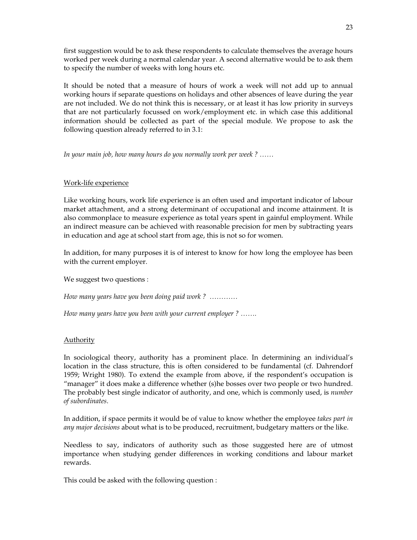first suggestion would be to ask these respondents to calculate themselves the average hours worked per week during a normal calendar year. A second alternative would be to ask them to specify the number of weeks with long hours etc.

It should be noted that a measure of hours of work a week will not add up to annual working hours if separate questions on holidays and other absences of leave during the year are not included. We do not think this is necessary, or at least it has low priority in surveys that are not particularly focussed on work/employment etc. in which case this additional information should be collected as part of the special module. We propose to ask the following question already referred to in 3.1:

*In your main job, how many hours do you normally work per week ? ……* 

# Work-life experience

Like working hours, work life experience is an often used and important indicator of labour market attachment, and a strong determinant of occupational and income attainment. It is also commonplace to measure experience as total years spent in gainful employment. While an indirect measure can be achieved with reasonable precision for men by subtracting years in education and age at school start from age, this is not so for women.

In addition, for many purposes it is of interest to know for how long the employee has been with the current employer.

We suggest two questions :

*How many years have you been doing paid work ? …………*

*How many years have you been with your current employer ? …….* 

# Authority

In sociological theory, authority has a prominent place. In determining an individual's location in the class structure, this is often considered to be fundamental (cf. Dahrendorf 1959; Wright 1980). To extend the example from above, if the respondent's occupation is "manager" it does make a difference whether (s)he bosses over two people or two hundred. The probably best single indicator of authority, and one, which is commonly used, is *number of subordinates*.

In addition, if space permits it would be of value to know whether the employee *takes part in any major decisions* about what is to be produced, recruitment, budgetary matters or the like.

Needless to say, indicators of authority such as those suggested here are of utmost importance when studying gender differences in working conditions and labour market rewards.

This could be asked with the following question :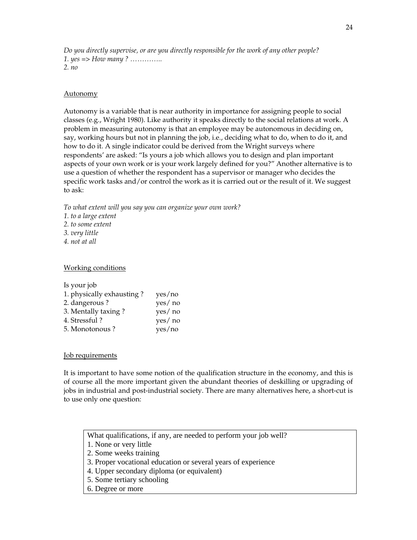*Do you directly supervise, or are you directly responsible for the work of any other people? 1. yes => How many ? ………….. 2. no* 

#### Autonomy

Autonomy is a variable that is near authority in importance for assigning people to social classes (e.g., Wright 1980). Like authority it speaks directly to the social relations at work. A problem in measuring autonomy is that an employee may be autonomous in deciding on, say, working hours but not in planning the job, i.e., deciding what to do, when to do it, and how to do it. A single indicator could be derived from the Wright surveys where respondents' are asked: "Is yours a job which allows you to design and plan important aspects of your own work or is your work largely defined for you?" Another alternative is to use a question of whether the respondent has a supervisor or manager who decides the specific work tasks and/or control the work as it is carried out or the result of it. We suggest to ask:

*To what extent will you say you can organize your own work?* 

- *1. to a large extent*
- *2. to some extent*
- *3. very little*
- *4. not at all*

#### Working conditions

Is your job

| 1. physically exhausting? | yes/no  |
|---------------------------|---------|
| 2. dangerous?             | yes/ no |
| 3. Mentally taxing?       | yes/ no |
| 4. Stressful ?            | yes/ no |
| 5. Monotonous?            | yes/no  |

#### Job requirements

It is important to have some notion of the qualification structure in the economy, and this is of course all the more important given the abundant theories of deskilling or upgrading of jobs in industrial and post-industrial society. There are many alternatives here, a short-cut is to use only one question:

What qualifications, if any, are needed to perform your job well?

- 1. None or very little
- 2. Some weeks training
- 3. Proper vocational education or several years of experience
- 4. Upper secondary diploma (or equivalent)
- 5. Some tertiary schooling
- 6. Degree or more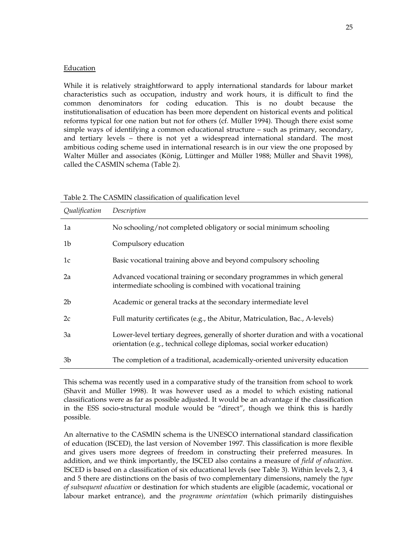#### **Education**

While it is relatively straightforward to apply international standards for labour market characteristics such as occupation, industry and work hours, it is difficult to find the common denominators for coding education. This is no doubt because the institutionalisation of education has been more dependent on historical events and political reforms typical for one nation but not for others (cf. Müller 1994). Though there exist some simple ways of identifying a common educational structure – such as primary, secondary, and tertiary levels – there is not yet a widespread international standard. The most ambitious coding scheme used in international research is in our view the one proposed by Walter Müller and associates (König, Lüttinger and Müller 1988; Müller and Shavit 1998), called the CASMIN schema (Table 2).

| Qualification  | Description                                                                                                                                                  |
|----------------|--------------------------------------------------------------------------------------------------------------------------------------------------------------|
| 1a             | No schooling/not completed obligatory or social minimum schooling                                                                                            |
| 1 <sub>b</sub> | Compulsory education                                                                                                                                         |
| 1c             | Basic vocational training above and beyond compulsory schooling                                                                                              |
| 2a             | Advanced vocational training or secondary programmes in which general<br>intermediate schooling is combined with vocational training                         |
| 2 <sub>b</sub> | Academic or general tracks at the secondary intermediate level                                                                                               |
| 2c             | Full maturity certificates (e.g., the Abitur, Matriculation, Bac., A-levels)                                                                                 |
| 3a             | Lower-level tertiary degrees, generally of shorter duration and with a vocational<br>orientation (e.g., technical college diplomas, social worker education) |
| 3b             | The completion of a traditional, academically-oriented university education                                                                                  |

Table 2. The CASMIN classification of qualification level

This schema was recently used in a comparative study of the transition from school to work (Shavit and Müller 1998). It was however used as a model to which existing national classifications were as far as possible adjusted. It would be an advantage if the classification in the ESS socio-structural module would be "direct", though we think this is hardly possible.

An alternative to the CASMIN schema is the UNESCO international standard classification of education (ISCED), the last version of November 1997. This classification is more flexible and gives users more degrees of freedom in constructing their preferred measures. In addition, and we think importantly, the ISCED also contains a measure of *field of education*. ISCED is based on a classification of six educational levels (see Table 3). Within levels 2, 3, 4 and 5 there are distinctions on the basis of two complementary dimensions, namely the *type of subsequent education* or destination for which students are eligible (academic, vocational or labour market entrance), and the *programme orientation* (which primarily distinguishes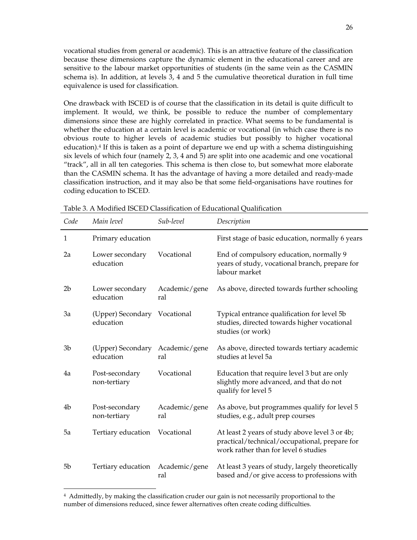vocational studies from general or academic). This is an attractive feature of the classification because these dimensions capture the dynamic element in the educational career and are sensitive to the labour market opportunities of students (in the same vein as the CASMIN schema is). In addition, at levels 3, 4 and 5 the cumulative theoretical duration in full time equivalence is used for classification.

One drawback with ISCED is of course that the classification in its detail is quite difficult to implement. It would, we think, be possible to reduce the number of complementary dimensions since these are highly correlated in practice. What seems to be fundamental is whether the education at a certain level is academic or vocational (in which case there is no obvious route to higher levels of academic studies but possibly to higher vocational education).<sup>4</sup> If this is taken as a point of departure we end up with a schema distinguishing six levels of which four (namely 2, 3, 4 and 5) are split into one academic and one vocational "track", all in all ten categories. This schema is then close to, but somewhat more elaborate than the CASMIN schema. It has the advantage of having a more detailed and ready-made classification instruction, and it may also be that some field-organisations have routines for coding education to ISCED.

| Code           | Main level                                   | Sub-level            | Description                                                                                                                             |
|----------------|----------------------------------------------|----------------------|-----------------------------------------------------------------------------------------------------------------------------------------|
| 1              | Primary education                            |                      | First stage of basic education, normally 6 years                                                                                        |
| 2a             | Lower secondary<br>education                 | Vocational           | End of compulsory education, normally 9<br>years of study, vocational branch, prepare for<br>labour market                              |
| 2 <sub>b</sub> | Lower secondary<br>education                 | Academic/gene<br>ral | As above, directed towards further schooling                                                                                            |
| 3a             | (Upper) Secondary Vocational<br>education    |                      | Typical entrance qualification for level 5b<br>studies, directed towards higher vocational<br>studies (or work)                         |
| 3b             | (Upper) Secondary Academic/gene<br>education | ral                  | As above, directed towards tertiary academic<br>studies at level 5a                                                                     |
| 4a             | Post-secondary<br>non-tertiary               | Vocational           | Education that require level 3 but are only<br>slightly more advanced, and that do not<br>qualify for level 5                           |
| 4b             | Post-secondary<br>non-tertiary               | Academic/gene<br>ral | As above, but programmes qualify for level 5<br>studies, e.g., adult prep courses                                                       |
| 5a             | Tertiary education                           | Vocational           | At least 2 years of study above level 3 or 4b;<br>practical/technical/occupational, prepare for<br>work rather than for level 6 studies |
| 5b             | Tertiary education                           | Academic/gene<br>ral | At least 3 years of study, largely theoretically<br>based and/or give access to professions with                                        |

Table 3. A Modified ISCED Classification of Educational Qualification

-

<sup>4</sup> Admittedly, by making the classification cruder our gain is not necessarily proportional to the number of dimensions reduced, since fewer alternatives often create coding difficulties.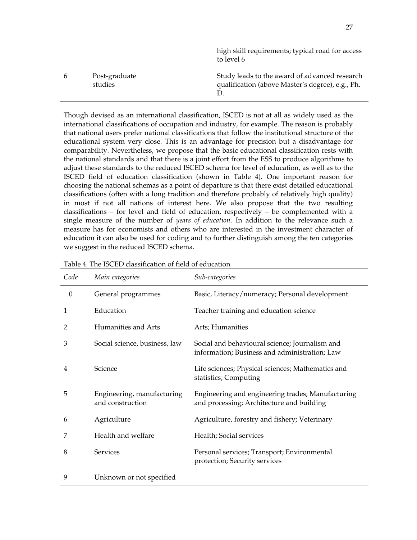|   |                          | high skill requirements; typical road for access<br>to level 6                                    |
|---|--------------------------|---------------------------------------------------------------------------------------------------|
| 6 | Post-graduate<br>studies | Study leads to the award of advanced research<br>qualification (above Master's degree), e.g., Ph. |

Though devised as an international classification, ISCED is not at all as widely used as the international classifications of occupation and industry, for example. The reason is probably that national users prefer national classifications that follow the institutional structure of the educational system very close. This is an advantage for precision but a disadvantage for comparability. Nevertheless, we propose that the basic educational classification rests with the national standards and that there is a joint effort from the ESS to produce algorithms to adjust these standards to the reduced ISCED schema for level of education, as well as to the ISCED field of education classification (shown in Table 4). One important reason for choosing the national schemas as a point of departure is that there exist detailed educational classifications (often with a long tradition and therefore probably of relatively high quality) in most if not all nations of interest here. We also propose that the two resulting classifications – for level and field of education, respectively – be complemented with a single measure of the number of *years of education*. In addition to the relevance such a measure has for economists and others who are interested in the investment character of education it can also be used for coding and to further distinguish among the ten categories we suggest in the reduced ISCED schema.

| Code             | Main categories                                | Sub-categories                                                                                  |
|------------------|------------------------------------------------|-------------------------------------------------------------------------------------------------|
| $\boldsymbol{0}$ | General programmes                             | Basic, Literacy/numeracy; Personal development                                                  |
| 1                | Education                                      | Teacher training and education science                                                          |
| 2                | Humanities and Arts                            | Arts; Humanities                                                                                |
| 3                | Social science, business, law                  | Social and behavioural science; Journalism and<br>information; Business and administration; Law |
| 4                | Science                                        | Life sciences; Physical sciences; Mathematics and<br>statistics; Computing                      |
| 5                | Engineering, manufacturing<br>and construction | Engineering and engineering trades; Manufacturing<br>and processing; Architecture and building  |
| 6                | Agriculture                                    | Agriculture, forestry and fishery; Veterinary                                                   |
| 7                | Health and welfare                             | Health; Social services                                                                         |
| 8                | <b>Services</b>                                | Personal services; Transport; Environmental<br>protection; Security services                    |
| 9                | Unknown or not specified                       |                                                                                                 |

Table 4. The ISCED classification of field of education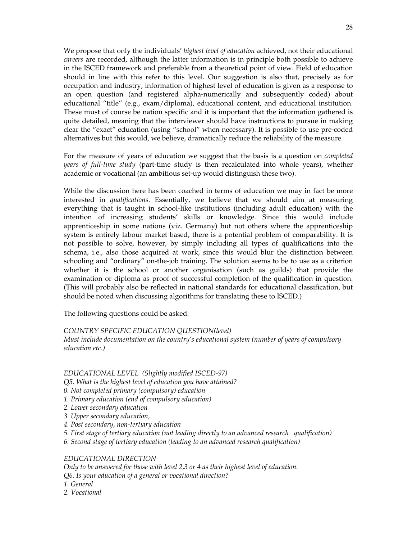We propose that only the individuals' *highest level of education* achieved, not their educational *careers* are recorded, although the latter information is in principle both possible to achieve in the ISCED framework and preferable from a theoretical point of view. Field of education should in line with this refer to this level. Our suggestion is also that, precisely as for occupation and industry, information of highest level of education is given as a response to an open question (and registered alpha-numerically and subsequently coded) about educational "title" (e.g., exam/diploma), educational content, and educational institution. These must of course be nation specific and it is important that the information gathered is quite detailed, meaning that the interviewer should have instructions to pursue in making clear the "exact" education (using "school" when necessary). It is possible to use pre-coded alternatives but this would, we believe, dramatically reduce the reliability of the measure.

For the measure of years of education we suggest that the basis is a question on *completed years of full-time study* (part-time study is then recalculated into whole years), whether academic or vocational (an ambitious set-up would distinguish these two).

While the discussion here has been coached in terms of education we may in fact be more interested in *qualifications*. Essentially, we believe that we should aim at measuring everything that is taught in school-like institutions (including adult education) with the intention of increasing students' skills or knowledge. Since this would include apprenticeship in some nations (viz. Germany) but not others where the apprenticeship system is entirely labour market based, there is a potential problem of comparability. It is not possible to solve, however, by simply including all types of qualifications into the schema, i.e., also those acquired at work, since this would blur the distinction between schooling and "ordinary" on-the-job training. The solution seems to be to use as a criterion whether it is the school or another organisation (such as guilds) that provide the examination or diploma as proof of successful completion of the qualification in question. (This will probably also be reflected in national standards for educational classification, but should be noted when discussing algorithms for translating these to ISCED.)

The following questions could be asked:

#### *COUNTRY SPECIFIC EDUCATION QUESTION(level)*

*Must include documentation on the country's educational system (number of years of compulsory education etc.)* 

#### *EDUCATIONAL LEVEL (Slightly modified ISCED-97)*

- *Q5. What is the highest level of education you have attained?*
- *0. Not completed primary (compulsory) education*
- *1. Primary education (end of compulsory education)*
- *2. Lower secondary education*
- *3. Upper secondary education,*
- *4. Post secondary, non-tertiary education*
- *5. First stage of tertiary education (not leading directly to an advanced research qualification)*
- *6. Second stage of tertiary education (leading to an advanced research qualification)*

#### *EDUCATIONAL DIRECTION*

*Only to be answered for those with level 2,3 or 4 as their highest level of education. Q6. Is your education of a general or vocational direction? 1. General 2. Vocational*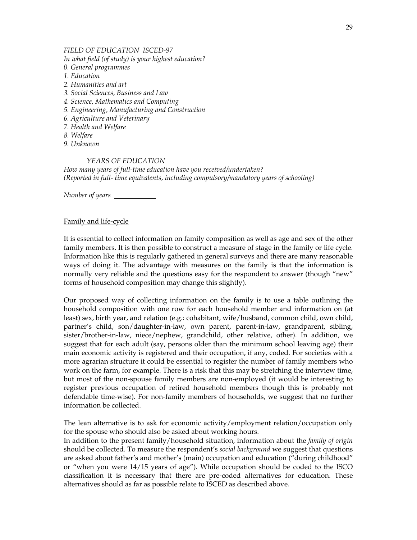#### *FIELD OF EDUCATION ISCED-97*

*In what field (of study) is your highest education?*

- *0. General programmes*
- *1. Education*
- *2. Humanities and art*
- *3. Social Sciences, Business and Law*
- *4. Science, Mathematics and Computing*
- *5. Engineering, Manufacturing and Construction*
- *6. Agriculture and Veterinary*
- *7. Health and Welfare*
- *8. Welfare*
- *9. Unknown*

### *YEARS OF EDUCATION*

*How many years of full-time education have you received/undertaken? (Reported in full- time equivalents, including compulsory/mandatory years of schooling)* 

*Number of years* 

### Family and life-cycle

It is essential to collect information on family composition as well as age and sex of the other family members. It is then possible to construct a measure of stage in the family or life cycle. Information like this is regularly gathered in general surveys and there are many reasonable ways of doing it. The advantage with measures on the family is that the information is normally very reliable and the questions easy for the respondent to answer (though "new" forms of household composition may change this slightly).

Our proposed way of collecting information on the family is to use a table outlining the household composition with one row for each household member and information on (at least) sex, birth year, and relation (e.g.: cohabitant, wife/husband, common child, own child, partner's child, son/daughter-in-law, own parent, parent-in-law, grandparent, sibling, sister/brother-in-law, niece/nephew, grandchild, other relative, other). In addition, we suggest that for each adult (say, persons older than the minimum school leaving age) their main economic activity is registered and their occupation, if any, coded. For societies with a more agrarian structure it could be essential to register the number of family members who work on the farm, for example. There is a risk that this may be stretching the interview time, but most of the non-spouse family members are non-employed (it would be interesting to register previous occupation of retired household members though this is probably not defendable time-wise). For non-family members of households, we suggest that no further information be collected.

The lean alternative is to ask for economic activity/employment relation/occupation only for the spouse who should also be asked about working hours.

In addition to the present family/household situation, information about the *family of origin* should be collected. To measure the respondent's *social background* we suggest that questions are asked about father's and mother's (main) occupation and education ("during childhood" or "when you were 14/15 years of age"). While occupation should be coded to the ISCO classification it is necessary that there are pre-coded alternatives for education. These alternatives should as far as possible relate to ISCED as described above.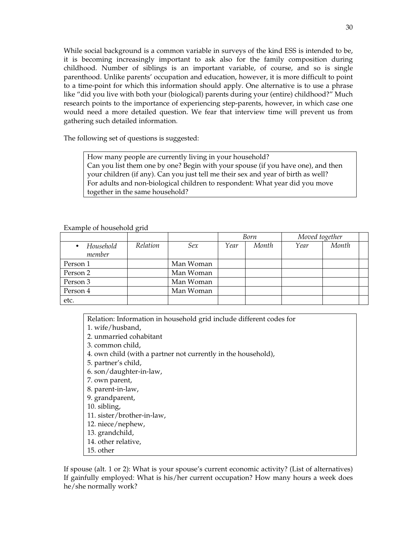While social background is a common variable in surveys of the kind ESS is intended to be, it is becoming increasingly important to ask also for the family composition during childhood. Number of siblings is an important variable, of course, and so is single parenthood. Unlike parents' occupation and education, however, it is more difficult to point to a time-point for which this information should apply. One alternative is to use a phrase like "did you live with both your (biological) parents during your (entire) childhood?" Much research points to the importance of experiencing step-parents, however, in which case one would need a more detailed question. We fear that interview time will prevent us from gathering such detailed information.

The following set of questions is suggested:

How many people are currently living in your household? Can you list them one by one? Begin with your spouse (if you have one), and then your children (if any). Can you just tell me their sex and year of birth as well? For adults and non-biological children to respondent: What year did you move together in the same household?

Example of household grid

|                     |          |           |      | Born  | Moved together |       |  |
|---------------------|----------|-----------|------|-------|----------------|-------|--|
| Household<br>member | Relation | Sex       | Year | Month | Year           | Month |  |
| Person 1            |          | Man Woman |      |       |                |       |  |
| Person 2            |          | Man Woman |      |       |                |       |  |
| Person 3            |          | Man Woman |      |       |                |       |  |
| Person 4            |          | Man Woman |      |       |                |       |  |
| etc.                |          |           |      |       |                |       |  |

Relation: Information in household grid include different codes for 1. wife/husband, 2. unmarried cohabitant 3. common child, 4. own child (with a partner not currently in the household), 5. partner's child, 6. son/daughter-in-law, 7. own parent, 8. parent-in-law, 9. grandparent, 10. sibling, 11. sister/brother-in-law, 12. niece/nephew, 13. grandchild, 14. other relative,

15. other

If spouse (alt. 1 or 2): What is your spouse's current economic activity? (List of alternatives) If gainfully employed: What is his/her current occupation? How many hours a week does he/she normally work?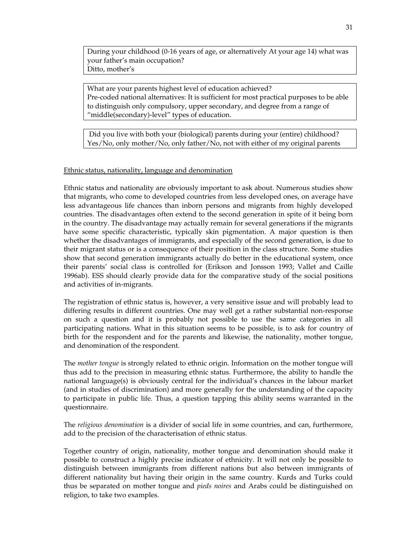During your childhood (0-16 years of age, or alternatively At your age 14) what was your father's main occupation? Ditto, mother's

What are your parents highest level of education achieved? Pre-coded national alternatives: It is sufficient for most practical purposes to be able to distinguish only compulsory, upper secondary, and degree from a range of "middle(secondary)-level" types of education.

 Did you live with both your (biological) parents during your (entire) childhood? Yes/No, only mother/No, only father/No, not with either of my original parents

#### Ethnic status, nationality, language and denomination

Ethnic status and nationality are obviously important to ask about. Numerous studies show that migrants, who come to developed countries from less developed ones, on average have less advantageous life chances than inborn persons and migrants from highly developed countries. The disadvantages often extend to the second generation in spite of it being born in the country. The disadvantage may actually remain for several generations if the migrants have some specific characteristic, typically skin pigmentation. A major question is then whether the disadvantages of immigrants, and especially of the second generation, is due to their migrant status or is a consequence of their position in the class structure. Some studies show that second generation immigrants actually do better in the educational system, once their parents' social class is controlled for (Erikson and Jonsson 1993; Vallet and Caille 1996ab). ESS should clearly provide data for the comparative study of the social positions and activities of in-migrants.

The registration of ethnic status is, however, a very sensitive issue and will probably lead to differing results in different countries. One may well get a rather substantial non-response on such a question and it is probably not possible to use the same categories in all participating nations. What in this situation seems to be possible, is to ask for country of birth for the respondent and for the parents and likewise, the nationality, mother tongue, and denomination of the respondent.

The *mother tongue* is strongly related to ethnic origin. Information on the mother tongue will thus add to the precision in measuring ethnic status. Furthermore, the ability to handle the national language(s) is obviously central for the individual's chances in the labour market (and in studies of discrimination) and more generally for the understanding of the capacity to participate in public life. Thus, a question tapping this ability seems warranted in the questionnaire.

The *religious denomination* is a divider of social life in some countries, and can, furthermore, add to the precision of the characterisation of ethnic status.

Together country of origin, nationality, mother tongue and denomination should make it possible to construct a highly precise indicator of ethnicity. It will not only be possible to distinguish between immigrants from different nations but also between immigrants of different nationality but having their origin in the same country. Kurds and Turks could thus be separated on mother tongue and *pieds noires* and Arabs could be distinguished on religion, to take two examples.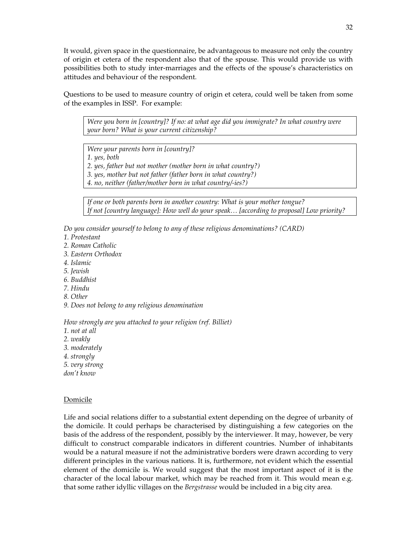It would, given space in the questionnaire, be advantageous to measure not only the country of origin et cetera of the respondent also that of the spouse. This would provide us with possibilities both to study inter-marriages and the effects of the spouse's characteristics on attitudes and behaviour of the respondent.

Questions to be used to measure country of origin et cetera, could well be taken from some of the examples in ISSP. For example:

*Were you born in [country]? If no: at what age did you immigrate? In what country were your born? What is your current citizenship?* 

*Were your parents born in [country]?* 

*1. yes, both* 

*2. yes, father but not mother (mother born in what country?)* 

*3. yes, mother but not father (father born in what country?)* 

*4. no, neither (father/mother born in what country/-ies?)* 

*If one or both parents born in another country: What is your mother tongue? If not [country language]: How well do your speak… [according to proposal] Low priority?* 

*Do you consider yourself to belong to any of these religious denominations? (CARD)* 

- *1. Protestant*
- *2. Roman Catholic*
- *3. Eastern Orthodox*
- *4. Islamic*
- *5. Jewish*
- *6. Buddhist*
- *7. Hindu*
- *8. Other*
- *9. Does not belong to any religious denomination*

*How strongly are you attached to your religion (ref. Billiet)* 

- *1. not at all*
- *2. weakly*
- *3. moderately*
- *4. strongly*
- *5. very strong*
- *don't know*

#### **Domicile**

Life and social relations differ to a substantial extent depending on the degree of urbanity of the domicile. It could perhaps be characterised by distinguishing a few categories on the basis of the address of the respondent, possibly by the interviewer. It may, however, be very difficult to construct comparable indicators in different countries. Number of inhabitants would be a natural measure if not the administrative borders were drawn according to very different principles in the various nations. It is, furthermore, not evident which the essential element of the domicile is. We would suggest that the most important aspect of it is the character of the local labour market, which may be reached from it. This would mean e.g. that some rather idyllic villages on the *Bergstrasse* would be included in a big city area.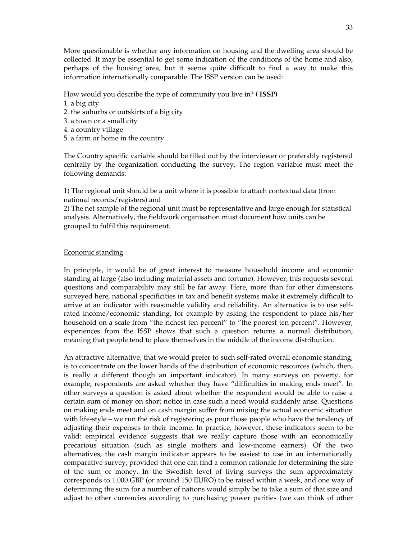More questionable is whether any information on housing and the dwelling area should be collected. It may be essential to get some indication of the conditions of the home and also, perhaps of the housing area, but it seems quite difficult to find a way to make this information internationally comparable. The ISSP version can be used:

How would you describe the type of community you live in? **( ISSP)** 

- 1. a big city
- 2. the suburbs or outskirts of a big city
- 3. a town or a small city
- 4. a country village
- 5. a farm or home in the country

The Country specific variable should be filled out by the interviewer or preferably registered centrally by the organization conducting the survey. The region variable must meet the following demands:

1) The regional unit should be a unit where it is possible to attach contextual data (from national records/registers) and

2) The net sample of the regional unit must be representative and large enough for statistical analysis. Alternatively, the fieldwork organisation must document how units can be grouped to fulfil this requirement.

#### Economic standing

In principle, it would be of great interest to measure household income and economic standing at large (also including material assets and fortune). However, this requests several questions and comparability may still be far away. Here, more than for other dimensions surveyed here, national specificities in tax and benefit systems make it extremely difficult to arrive at an indicator with reasonable validity and reliability. An alternative is to use selfrated income/economic standing, for example by asking the respondent to place his/her household on a scale from "the richest ten percent" to "the poorest ten percent". However, experiences from the ISSP shows that such a question returns a normal distribution, meaning that people tend to place themselves in the middle of the income distribution.

An attractive alternative, that we would prefer to such self-rated overall economic standing, is to concentrate on the lower bands of the distribution of economic resources (which, then, is really a different though an important indicator). In many surveys on poverty, for example, respondents are asked whether they have "difficulties in making ends meet". In other surveys a question is asked about whether the respondent would be able to raise a certain sum of money on short notice in case such a need would suddenly arise. Questions on making ends meet and on cash margin suffer from mixing the actual economic situation with life-style – we run the risk of registering as poor those people who have the tendency of adjusting their expenses to their income. In practice, however, these indicators seem to be valid: empirical evidence suggests that we really capture those with an economically precarious situation (such as single mothers and low-income earners). Of the two alternatives, the cash margin indicator appears to be easiest to use in an internationally comparative survey, provided that one can find a common rationale for determining the size of the sum of money. In the Swedish level of living surveys the sum approximately corresponds to 1.000 GBP (or around 150 EURO) to be raised within a week, and one way of determining the sum for a number of nations would simply be to take a sum of that size and adjust to other currencies according to purchasing power parities (we can think of other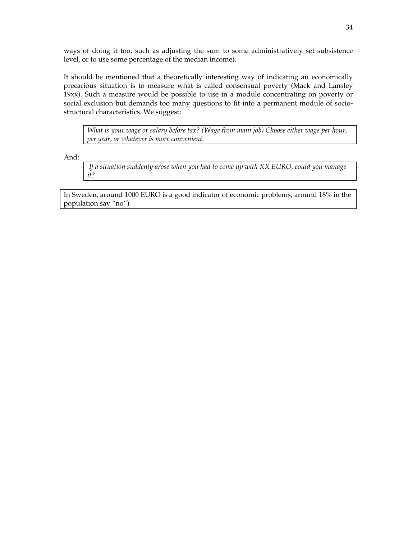ways of doing it too, such as adjusting the sum to some administratively set subsistence level, or to use some percentage of the median income).

It should be mentioned that a theoretically interesting way of indicating an economically precarious situation is to measure what is called consensual poverty (Mack and Lansley 19xx). Such a measure would be possible to use in a module concentrating on poverty or social exclusion but demands too many questions to fit into a permanent module of sociostructural characteristics. We suggest:

*What is your wage or salary before tax? (Wage from main job) Choose either wage per hour, per year, or whatever is more convenient.* 

And:

 *If a situation suddenly arose when you had to come up with XX EURO, could you manage it?* 

In Sweden, around 1000 EURO is a good indicator of economic problems, around 18% in the population say "no")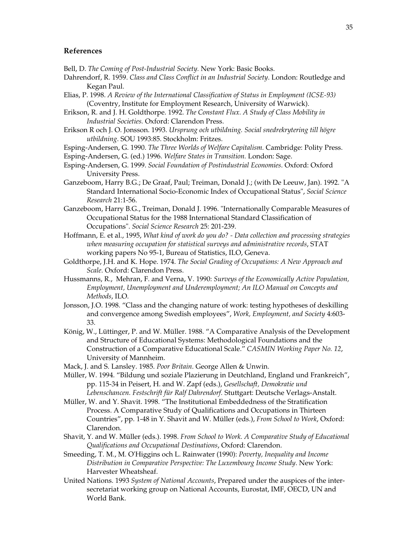#### **References**

Bell, D. *The Coming of Post-Industrial Society.* New York: Basic Books.

- Dahrendorf, R. 1959. *Class and Class Conflict in an Industrial Society*. London: Routledge and Kegan Paul.
- Elias, P. 1998. *A Review of the International Classification of Status in Employment (ICSE-93)* (Coventry, Institute for Employment Research, University of Warwick).
- Erikson, R. and J. H. Goldthorpe. 1992. *The Constant Flux. A Study of Class Mobility in Industrial Societies.* Oxford: Clarendon Press.
- Erikson R och J. O. Jonsson. 1993. *Ursprung och utbildning. Social snedrekrytering till högre utbildning*. SOU 1993:85. Stockholm: Fritzes.
- Esping-Andersen, G. 1990. *The Three Worlds of Welfare Capitalism.* Cambridge: Polity Press.
- Esping-Andersen, G. (ed.) 1996. *Welfare States in Transition.* London: Sage.
- Esping-Andersen, G. 1999. *Social Foundation of Postindustrial Economies*. Oxford: Oxford University Press.
- Ganzeboom, Harry B.G.; De Graaf, Paul; Treiman, Donald J.; (with De Leeuw, Jan). 1992. "A Standard International Socio-Economic Index of Occupational Status", *Social Science Research* 21:1-56.
- Ganzeboom, Harry B.G., Treiman, Donald J. 1996. "Internationally Comparable Measures of Occupational Status for the 1988 International Standard Classification of Occupations". *Social Science Research* 25: 201-239.
- Hoffmann, E. et al., 1995, *What kind of work do you do? Data collection and processing strategies when measuring occupation for statistical surveys and administrative records*, STAT working papers No 95-1, Bureau of Statistics, ILO, Geneva.
- Goldthorpe, J.H. and K. Hope. 1974. *The Social Grading of Occupations: A New Approach and Scale*. Oxford: Clarendon Press.
- Hussmanns, R., Mehran, F. and Verna, V. 1990: *Surveys of the Economically Active Population, Employment, Unemployment and Underemployment; An ILO Manual on Concepts and Methods*, ILO.
- Jonsson, J.O. 1998. "Class and the changing nature of work: testing hypotheses of deskilling and convergence among Swedish employees", *Work, Employment, and Society* 4:603- 33.
- König, W., Lüttinger, P. and W. Müller. 1988. "A Comparative Analysis of the Development and Structure of Educational Systems: Methodological Foundations and the Construction of a Comparative Educational Scale." *CASMIN Working Paper No. 12*, University of Mannheim.
- Mack, J. and S. Lansley. 1985. *Poor Britain*. George Allen & Unwin.
- Müller, W. 1994. "Bildung und soziale Plazierung in Deutchland, England und Frankreich", pp. 115-34 in Peisert, H. and W. Zapf (eds.), *Gesellschaft, Demokratie und Lebenschancen. Festschrift für Ralf Dahrendorf.* Stuttgart: Deutsche Verlags-Anstalt.
- Müller, W. and Y. Shavit. 1998. "The Institutional Embeddedness of the Stratification Process. A Comparative Study of Qualifications and Occupations in Thirteen Countries", pp. 1-48 in Y. Shavit and W. Müller (eds.), *From School to Work*, Oxford: Clarendon.
- Shavit, Y. and W. Müller (eds.). 1998. *From School to Work. A Comparative Study of Educational Qualifications and Occupational Destinations*, Oxford: Clarendon.
- Smeeding, T. M., M. O'Higgins och L. Rainwater (1990): *Poverty, Inequality and Income Distribution in Comparative Perspective: The Luxembourg Income Study*. New York: Harvester Wheatsheaf.
- United Nations. 1993 *System of National Accounts*, Prepared under the auspices of the intersecretariat working group on National Accounts, Eurostat, IMF, OECD, UN and World Bank.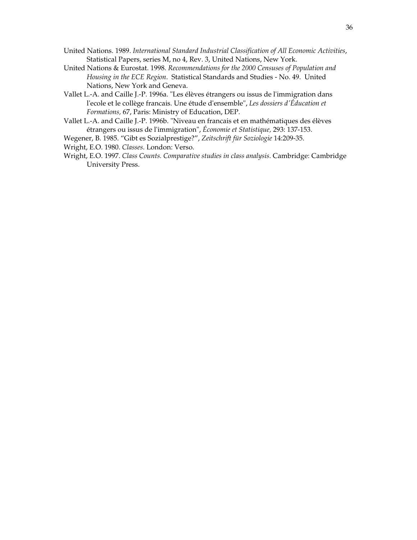- United Nations. 1989. *International Standard Industrial Classification of All Economic Activities*, Statistical Papers, series M, no 4, Rev. 3, United Nations, New York.
- United Nations & Eurostat. 1998. *Recommendations for the 2000 Censuses of Population and Housing in the ECE Region*. Statistical Standards and Studies - No. 49. United Nations, New York and Geneva.
- Vallet L.-A. and Caille J.-P. 1996a. "Les élèves étrangers ou issus de l'immigration dans l'ecole et le collège francais. Une étude d'ensemble", *Les dossiers d'Éducation et Formations,* 67, Paris: Ministry of Education, DEP.
- Vallet L.-A. and Caille J.-P. 1996b. "Niveau en francais et en mathématiques des élèves étrangers ou issus de l'immigration", *Économie et Statistique,* 293: 137-153.
- Wegener, B. 1985. "Gibt es Sozialprestige?", *Zeitschrift für Soziologie* 14:209-35.
- Wright, E.O. 1980. *Classes*. London: Verso.
- Wright, E.O. 1997. *Class Counts. Comparative studies in class analysis*. Cambridge: Cambridge University Press.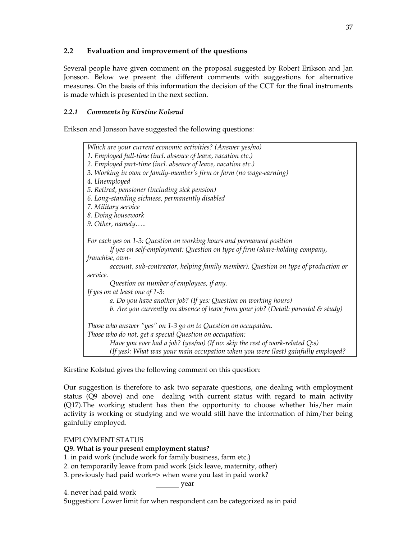# **2.2 Evaluation and improvement of the questions**

Several people have given comment on the proposal suggested by Robert Erikson and Jan Jonsson. Below we present the different comments with suggestions for alternative measures. On the basis of this information the decision of the CCT for the final instruments is made which is presented in the next section.

# *2.2.1 Comments by Kirstine Kolsrud*

Erikson and Jonsson have suggested the following questions:



Kirstine Kolstud gives the following comment on this question:

Our suggestion is therefore to ask two separate questions, one dealing with employment status (Q9 above) and one dealing with current status with regard to main activity (Q17).The working student has then the opportunity to choose whether his/her main activity is working or studying and we would still have the information of him/her being gainfully employed.

# EMPLOYMENT STATUS

# **Q9. What is your present employment status?**

- 1. in paid work (include work for family business, farm etc.)
- 2. on temporarily leave from paid work (sick leave, maternity, other)
- 3. previously had paid work=> when were you last in paid work?

year year

4. never had paid work

Suggestion: Lower limit for when respondent can be categorized as in paid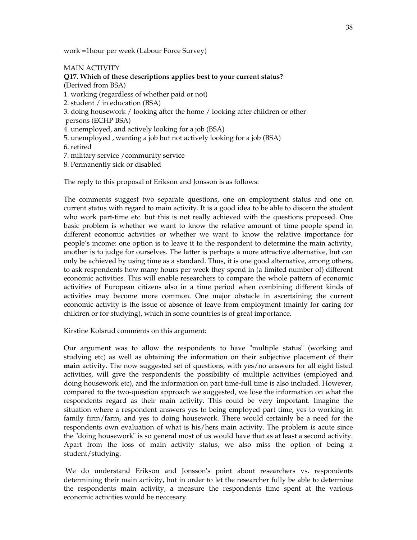work =1hour per week (Labour Force Survey)

#### MAIN ACTIVITY

**Q17. Which of these descriptions applies best to your current status?**  (Derived from BSA) 1. working (regardless of whether paid or not) 2. student / in education (BSA) 3. doing housework / looking after the home / looking after children or other persons (ECHP BSA) 4. unemployed, and actively looking for a job (BSA) 5. unemployed , wanting a job but not actively looking for a job (BSA) 6. retired 7. military service /community service

8. Permanently sick or disabled

The reply to this proposal of Erikson and Jonsson is as follows:

The comments suggest two separate questions, one on employment status and one on current status with regard to main activity. It is a good idea to be able to discern the student who work part-time etc. but this is not really achieved with the questions proposed. One basic problem is whether we want to know the relative amount of time people spend in different economic activities or whether we want to know the relative importance for people's income: one option is to leave it to the respondent to determine the main activity, another is to judge for ourselves. The latter is perhaps a more attractive alternative, but can only be achieved by using time as a standard. Thus, it is one good alternative, among others, to ask respondents how many hours per week they spend in (a limited number of) different economic activities. This will enable researchers to compare the whole pattern of economic activities of European citizens also in a time period when combining different kinds of activities may become more common. One major obstacle in ascertaining the current economic activity is the issue of absence of leave from employment (mainly for caring for children or for studying), which in some countries is of great importance.

Kirstine Kolsrud comments on this argument:

Our argument was to allow the respondents to have "multiple status" (working and studying etc) as well as obtaining the information on their subjective placement of their **main** activity. The now suggested set of questions, with yes/no answers for all eight listed activities, will give the respondents the possibility of multiple activities (employed and doing housework etc), and the information on part time-full time is also included. However, compared to the two-question approach we suggested, we lose the information on what the respondents regard as their main activity. This could be very important. Imagine the situation where a respondent answers yes to being employed part time, yes to working in family firm/farm, and yes to doing housework. There would certainly be a need for the respondents own evaluation of what is his/hers main activity. The problem is acute since the "doing housework" is so general most of us would have that as at least a second activity. Apart from the loss of main activity status, we also miss the option of being a student/studying.

 We do understand Erikson and Jonsson's point about researchers vs. respondents determining their main activity, but in order to let the researcher fully be able to determine the respondents main activity, a measure the respondents time spent at the various economic activities would be neccesary.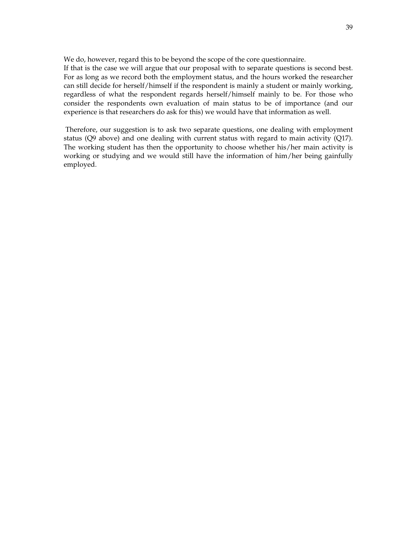We do, however, regard this to be beyond the scope of the core questionnaire.

If that is the case we will argue that our proposal with to separate questions is second best. For as long as we record both the employment status, and the hours worked the researcher can still decide for herself/himself if the respondent is mainly a student or mainly working, regardless of what the respondent regards herself/himself mainly to be. For those who consider the respondents own evaluation of main status to be of importance (and our experience is that researchers do ask for this) we would have that information as well.

 Therefore, our suggestion is to ask two separate questions, one dealing with employment status (Q9 above) and one dealing with current status with regard to main activity (Q17). The working student has then the opportunity to choose whether his/her main activity is working or studying and we would still have the information of him/her being gainfully employed.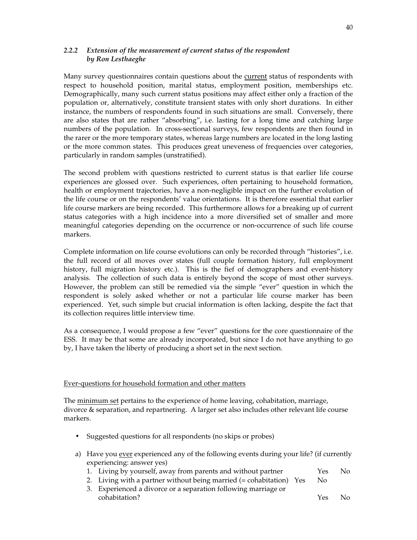### *2.2.2 Extension of the measurement of current status of the respondent by Ron Lesthaeghe*

Many survey questionnaires contain questions about the current status of respondents with respect to household position, marital status, employment position, memberships etc. Demographically, many such current status positions may affect either only a fraction of the population or, alternatively, constitute transient states with only short durations. In either instance, the numbers of respondents found in such situations are small. Conversely, there are also states that are rather "absorbing", i.e. lasting for a long time and catching large numbers of the population. In cross-sectional surveys, few respondents are then found in the rarer or the more temporary states, whereas large numbers are located in the long lasting or the more common states. This produces great uneveness of frequencies over categories, particularly in random samples (unstratified).

The second problem with questions restricted to current status is that earlier life course experiences are glossed over. Such experiences, often pertaining to household formation, health or employment trajectories, have a non-negligible impact on the further evolution of the life course or on the respondents' value orientations. It is therefore essential that earlier life course markers are being recorded. This furthermore allows for a breaking up of current status categories with a high incidence into a more diversified set of smaller and more meaningful categories depending on the occurrence or non-occurrence of such life course markers.

Complete information on life course evolutions can only be recorded through "histories", i.e. the full record of all moves over states (full couple formation history, full employment history, full migration history etc.). This is the fief of demographers and event-history analysis. The collection of such data is entirely beyond the scope of most other surveys. However, the problem can still be remedied via the simple "ever" question in which the respondent is solely asked whether or not a particular life course marker has been experienced. Yet, such simple but crucial information is often lacking, despite the fact that its collection requires little interview time.

As a consequence, I would propose a few "ever" questions for the core questionnaire of the ESS. It may be that some are already incorporated, but since I do not have anything to go by, I have taken the liberty of producing a short set in the next section.

#### Ever-questions for household formation and other matters

The minimum set pertains to the experience of home leaving, cohabitation, marriage, divorce & separation, and repartnering. A larger set also includes other relevant life course markers.

- Suggested questions for all respondents (no skips or probes)
- a) Have you ever experienced any of the following events during your life? (if currently experiencing: answer yes)
	- 1. Living by yourself, away from parents and without partner Yes No
	- 2. Living with a partner without being married  $(=$  cohabitation) Yes No
	- 3. Experienced a divorce or a separation following marriage or cohabitation? Yes No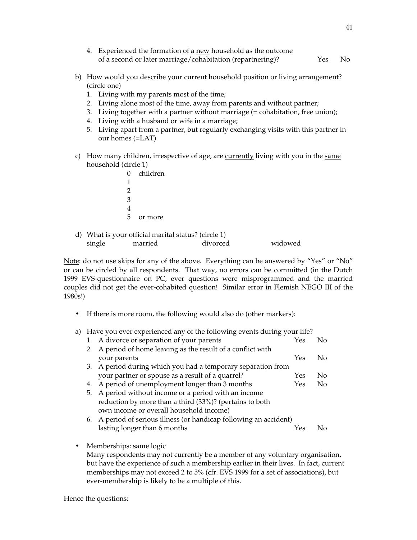| 4. Experienced the formation of a new household as the outcome |      |      |
|----------------------------------------------------------------|------|------|
| of a second or later marriage/cohabitation (repartnering)?     | Yes. | - No |

- b) How would you describe your current household position or living arrangement? (circle one)
	- 1. Living with my parents most of the time;
	- 2. Living alone most of the time, away from parents and without partner;
	- 3. Living together with a partner without marriage (= cohabitation, free union);
	- 4. Living with a husband or wife in a marriage;
	- 5. Living apart from a partner, but regularly exchanging visits with this partner in our homes (=LAT)
- c) How many children, irrespective of age, are currently living with you in the same household (circle 1)
	- 0 children 1 2 3 4 5 or more
- d) What is your official marital status? (circle 1) single married divorced widowed

Note: do not use skips for any of the above. Everything can be answered by "Yes" or "No" or can be circled by all respondents. That way, no errors can be committed (in the Dutch 1999 EVS-questionnaire on PC, ever questions were misprogrammed and the married couples did not get the ever-cohabited question! Similar error in Flemish NEGO III of the 1980s!)

- If there is more room, the following would also do (other markers):
- a) Have you ever experienced any of the following events during your life?

| 1. A divorce or separation of your parents                         | Yes | N٥  |
|--------------------------------------------------------------------|-----|-----|
| 2. A period of home leaving as the result of a conflict with       |     |     |
| your parents                                                       | Yes | No. |
| 3. A period during which you had a temporary separation from       |     |     |
| your partner or spouse as a result of a quarrel?                   | Yes | Nο  |
| 4. A period of unemployment longer than 3 months                   | Yes | No. |
| 5. A period without income or a period with an income              |     |     |
| reduction by more than a third (33%)? (pertains to both            |     |     |
| own income or overall household income)                            |     |     |
| 6. A period of serious illness (or handicap following an accident) |     |     |
| lasting longer than 6 months                                       | Yes |     |
|                                                                    |     |     |

• Memberships: same logic

Many respondents may not currently be a member of any voluntary organisation, but have the experience of such a membership earlier in their lives. In fact, current memberships may not exceed 2 to 5% (cfr. EVS 1999 for a set of associations), but ever-membership is likely to be a multiple of this.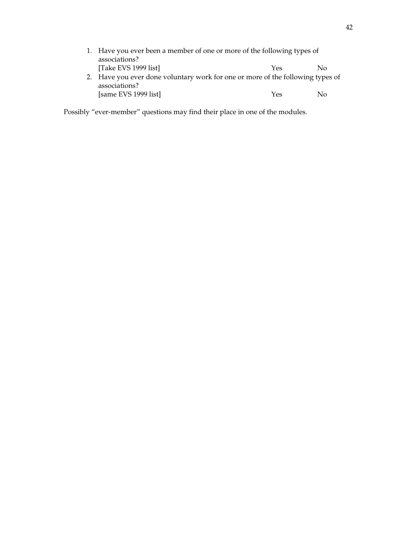|                                                                                                 | 1. Have you ever been a member of one or more of the following types of |     |     |  |  |
|-------------------------------------------------------------------------------------------------|-------------------------------------------------------------------------|-----|-----|--|--|
|                                                                                                 | associations?                                                           |     |     |  |  |
|                                                                                                 | [Take EVS 1999 list]                                                    | Yes | No. |  |  |
| 2. Have you ever done voluntary work for one or more of the following types of<br>associations? |                                                                         |     |     |  |  |
|                                                                                                 | [same EVS 1999 list]                                                    | Yes | Nο  |  |  |

Possibly "ever-member" questions may find their place in one of the modules.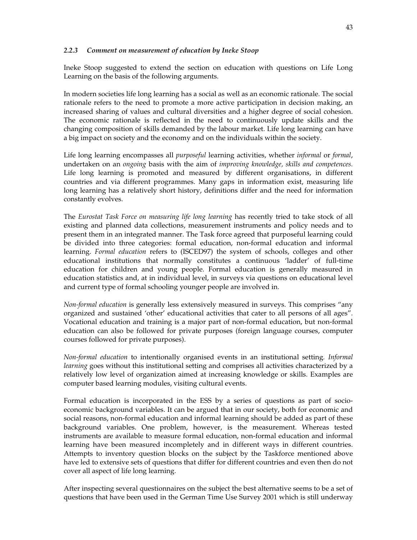#### *2.2.3 Comment on measurement of education by Ineke Stoop*

Ineke Stoop suggested to extend the section on education with questions on Life Long Learning on the basis of the following arguments.

In modern societies life long learning has a social as well as an economic rationale. The social rationale refers to the need to promote a more active participation in decision making, an increased sharing of values and cultural diversities and a higher degree of social cohesion. The economic rationale is reflected in the need to continuously update skills and the changing composition of skills demanded by the labour market. Life long learning can have a big impact on society and the economy and on the individuals within the society.

Life long learning encompasses all *purposeful* learning activities, whether *informal* or *formal*, undertaken on an *ongoing* basis with the aim of *improving knowledge, skills and competences.* Life long learning is promoted and measured by different organisations, in different countries and via different programmes. Many gaps in information exist, measuring life long learning has a relatively short history, definitions differ and the need for information constantly evolves.

The *Eurostat Task Force on measuring life long learning* has recently tried to take stock of all existing and planned data collections, measurement instruments and policy needs and to present them in an integrated manner. The Task force agreed that purposeful learning could be divided into three categories: formal education, non-formal education and informal learning. *Formal education* refers to (ISCED97) the system of schools, colleges and other educational institutions that normally constitutes a continuous 'ladder' of full-time education for children and young people. Formal education is generally measured in education statistics and, at in individual level, in surveys via questions on educational level and current type of formal schooling younger people are involved in.

*Non-formal education* is generally less extensively measured in surveys. This comprises "any organized and sustained 'other' educational activities that cater to all persons of all ages". Vocational education and training is a major part of non-formal education, but non-formal education can also be followed for private purposes (foreign language courses, computer courses followed for private purposes).

*Non-formal education* to intentionally organised events in an institutional setting*. Informal learning* goes without this institutional setting and comprises all activities characterized by a relatively low level of organization aimed at increasing knowledge or skills. Examples are computer based learning modules, visiting cultural events.

Formal education is incorporated in the ESS by a series of questions as part of socioeconomic background variables. It can be argued that in our society, both for economic and social reasons, non-formal education and informal learning should be added as part of these background variables. One problem, however, is the measurement. Whereas tested instruments are available to measure formal education, non-formal education and informal learning have been measured incompletely and in different ways in different countries. Attempts to inventory question blocks on the subject by the Taskforce mentioned above have led to extensive sets of questions that differ for different countries and even then do not cover all aspect of life long learning.

After inspecting several questionnaires on the subject the best alternative seems to be a set of questions that have been used in the German Time Use Survey 2001 which is still underway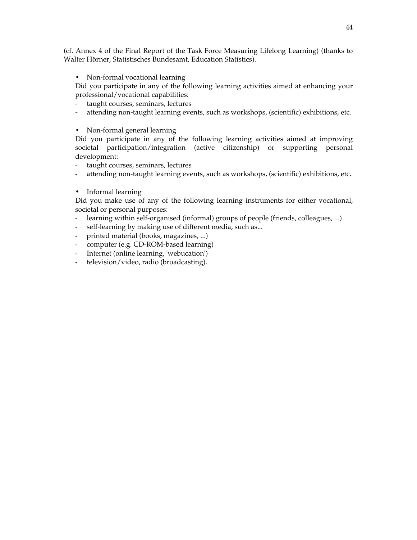(cf. Annex 4 of the Final Report of the Task Force Measuring Lifelong Learning) (thanks to Walter Hörner, Statistisches Bundesamt, Education Statistics).

• Non-formal vocational learning

Did you participate in any of the following learning activities aimed at enhancing your professional/vocational capabilities:

- taught courses, seminars, lectures
- attending non-taught learning events, such as workshops, (scientific) exhibitions, etc.
- Non-formal general learning

Did you participate in any of the following learning activities aimed at improving societal participation/integration (active citizenship) or supporting personal development:

- taught courses, seminars, lectures
- attending non-taught learning events, such as workshops, (scientific) exhibitions, etc.
- Informal learning

Did you make use of any of the following learning instruments for either vocational, societal or personal purposes:

- learning within self-organised (informal) groups of people (friends, colleagues, ...)
- self-learning by making use of different media, such as...
- printed material (books, magazines, ...)
- computer (e.g. CD-ROM-based learning)
- Internet (online learning, 'webucation')
- television/video, radio (broadcasting).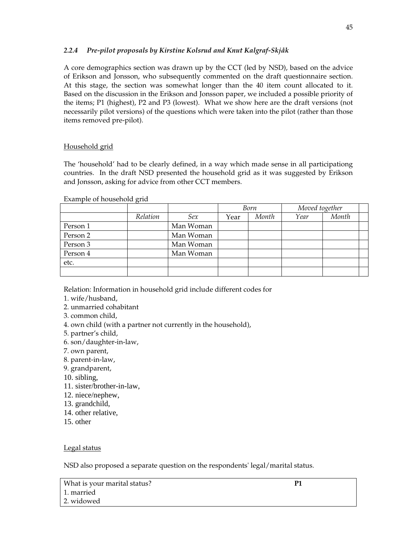# *2.2.4 Pre-pilot proposals by Kirstine Kolsrud and Knut Kalgraf-Skjåk*

A core demographics section was drawn up by the CCT (led by NSD), based on the advice of Erikson and Jonsson, who subsequently commented on the draft questionnaire section. At this stage, the section was somewhat longer than the 40 item count allocated to it. Based on the discussion in the Erikson and Jonsson paper, we included a possible priority of the items; P1 (highest), P2 and P3 (lowest). What we show here are the draft versions (not necessarily pilot versions) of the questions which were taken into the pilot (rather than those items removed pre-pilot).

# Household grid

The 'household' had to be clearly defined, in a way which made sense in all participationg countries. In the draft NSD presented the household grid as it was suggested by Erikson and Jonsson, asking for advice from other CCT members.

|          |          |           | Born |       | Moved together |       |  |
|----------|----------|-----------|------|-------|----------------|-------|--|
|          | Relation | Sex       | Year | Month | Year           | Month |  |
| Person 1 |          | Man Woman |      |       |                |       |  |
| Person 2 |          | Man Woman |      |       |                |       |  |
| Person 3 |          | Man Woman |      |       |                |       |  |
| Person 4 |          | Man Woman |      |       |                |       |  |
| etc.     |          |           |      |       |                |       |  |
|          |          |           |      |       |                |       |  |

Example of household grid

Relation: Information in household grid include different codes for

- 1. wife/husband,
- 2. unmarried cohabitant
- 3. common child,
- 4. own child (with a partner not currently in the household),
- 5. partner's child,
- 6. son/daughter-in-law,
- 7. own parent,
- 8. parent-in-law,
- 9. grandparent,
- 10. sibling,
- 11. sister/brother-in-law,
- 12. niece/nephew,
- 13. grandchild,
- 14. other relative,
- 15. other

# Legal status

NSD also proposed a separate question on the respondents' legal/marital status.

What is your marital status? **P1**  1. married 2. widowed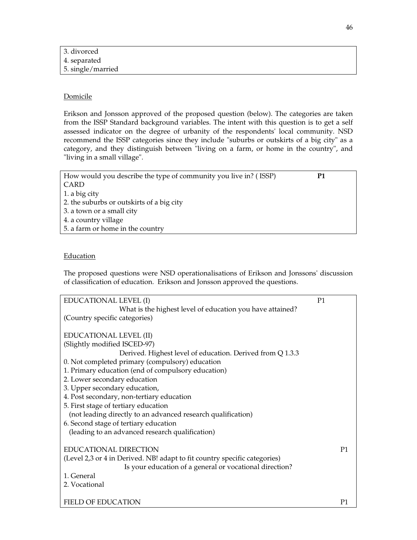| 3. divorced       |  |  |  |
|-------------------|--|--|--|
| 4. separated      |  |  |  |
| 5. single/married |  |  |  |

# Domicile

Erikson and Jonsson approved of the proposed question (below). The categories are taken from the ISSP Standard background variables. The intent with this question is to get a self assessed indicator on the degree of urbanity of the respondents' local community. NSD recommend the ISSP categories since they include "suburbs or outskirts of a big city" as a category, and they distinguish between "living on a farm, or home in the country", and "living in a small village".

| How would you describe the type of community you live in? (ISSP) | Р1 |
|------------------------------------------------------------------|----|
| CARD                                                             |    |
| 1. a big city                                                    |    |
| 2. the suburbs or outskirts of a big city                        |    |
| 3. a town or a small city                                        |    |
| 4. a country village                                             |    |
| 5. a farm or home in the country                                 |    |

### **Education**

The proposed questions were NSD operationalisations of Erikson and Jonssons' discussion of classification of education. Erikson and Jonsson approved the questions.

| EDUCATIONAL LEVEL (I)                                                     | P <sub>1</sub> |  |
|---------------------------------------------------------------------------|----------------|--|
| What is the highest level of education you have attained?                 |                |  |
| (Country specific categories)                                             |                |  |
|                                                                           |                |  |
| EDUCATIONAL LEVEL (II)                                                    |                |  |
| (Slightly modified ISCED-97)                                              |                |  |
| Derived. Highest level of education. Derived from Q 1.3.3                 |                |  |
| 0. Not completed primary (compulsory) education                           |                |  |
| 1. Primary education (end of compulsory education)                        |                |  |
| 2. Lower secondary education                                              |                |  |
| 3. Upper secondary education,                                             |                |  |
| 4. Post secondary, non-tertiary education                                 |                |  |
| 5. First stage of tertiary education                                      |                |  |
| (not leading directly to an advanced research qualification)              |                |  |
| 6. Second stage of tertiary education                                     |                |  |
| (leading to an advanced research qualification)                           |                |  |
| <b>EDUCATIONAL DIRECTION</b>                                              | P <sub>1</sub> |  |
| (Level 2,3 or 4 in Derived. NB! adapt to fit country specific categories) |                |  |
| Is your education of a general or vocational direction?                   |                |  |
| 1. General                                                                |                |  |
| 2. Vocational                                                             |                |  |
|                                                                           |                |  |
| <b>FIELD OF EDUCATION</b>                                                 | P <sub>1</sub> |  |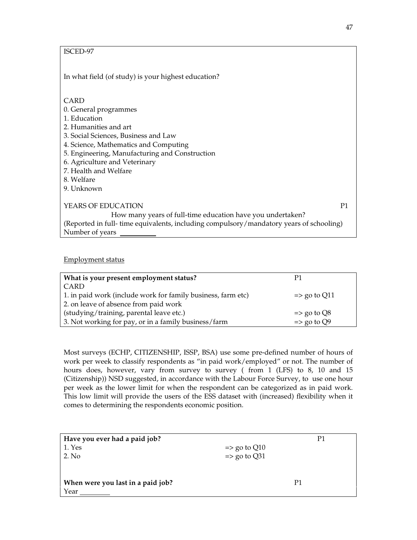# ISCED-97

In what field (of study) is your highest education?

# CARD

- 0. General programmes
- 1. Education
- 2. Humanities and art
- 3. Social Sciences, Business and Law
- 4. Science, Mathematics and Computing
- 5. Engineering, Manufacturing and Construction
- 6. Agriculture and Veterinary
- 7. Health and Welfare
- 8. Welfare
- 9. Unknown

YEARS OF EDUCATION P1 How many years of full-time education have you undertaken? (Reported in full- time equivalents, including compulsory/mandatory years of schooling) Number of years

### Employment status

| What is your present employment status?                      | P1                      |
|--------------------------------------------------------------|-------------------------|
| CARD                                                         |                         |
| 1. in paid work (include work for family business, farm etc) | $\Rightarrow$ go to Q11 |
| 2. on leave of absence from paid work                        |                         |
| (studying/training, parental leave etc.)                     | $\Rightarrow$ go to Q8  |
| 3. Not working for pay, or in a family business/farm         | $\Rightarrow$ go to Q9  |

Most surveys (ECHP, CITIZENSHIP, ISSP, BSA) use some pre-defined number of hours of work per week to classify respondents as "in paid work/employed" or not. The number of hours does, however, vary from survey to survey ( from 1 (LFS) to 8, 10 and 15 (Citizenship)) NSD suggested, in accordance with the Labour Force Survey, to use one hour per week as the lower limit for when the respondent can be categorized as in paid work. This low limit will provide the users of the ESS dataset with (increased) flexibility when it comes to determining the respondents economic position.

| Have you ever had a paid job?     |                         | P1 |
|-----------------------------------|-------------------------|----|
| 1. Yes                            | $\Rightarrow$ go to Q10 |    |
| 2. No                             | $\Rightarrow$ go to Q31 |    |
|                                   |                         |    |
|                                   |                         |    |
| When were you last in a paid job? |                         | P1 |
| Year                              |                         |    |
|                                   |                         |    |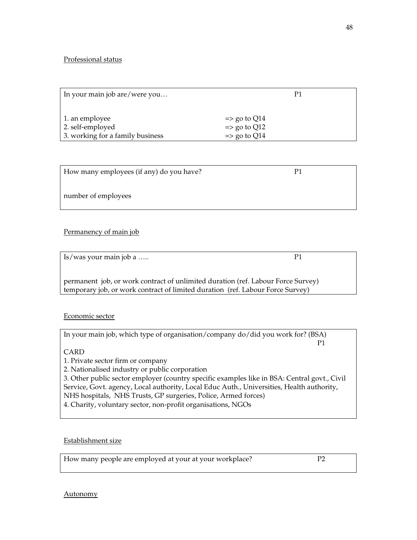# Professional status

| In your main job are/were you    | P1                      |
|----------------------------------|-------------------------|
|                                  |                         |
| 1. an employee                   | $\Rightarrow$ go to Q14 |
| 2. self-employed                 | $\Rightarrow$ go to Q12 |
| 3. working for a family business | $\Rightarrow$ go to Q14 |

| How many employees (if any) do you have? | P |  |
|------------------------------------------|---|--|
| number of employees                      |   |  |

# Permanency of main job

| Is/was your main job a                                                           | P1 |  |
|----------------------------------------------------------------------------------|----|--|
|                                                                                  |    |  |
| permanent job, or work contract of unlimited duration (ref. Labour Force Survey) |    |  |
| temporary job, or work contract of limited duration (ref. Labour Force Survey)   |    |  |

# Economic sector

| In your main job, which type of organisation/company do/did you work for? (BSA) |  |
|---------------------------------------------------------------------------------|--|
|                                                                                 |  |

CARD

1. Private sector firm or company

2. Nationalised industry or public corporation

3. Other public sector employer (country specific examples like in BSA: Central govt., Civil Service, Govt. agency, Local authority, Local Educ Auth., Universities, Health authority, NHS hospitals, NHS Trusts, GP surgeries, Police, Armed forces)

4. Charity, voluntary sector, non-profit organisations, NGOs

# Establishment size

How many people are employed at your at your workplace? P2

#### Autonomy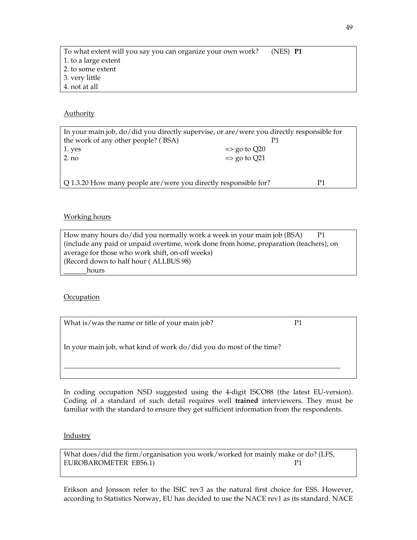| To what extent will you say you can organize your own work? | $(NES)$ P1 |  |
|-------------------------------------------------------------|------------|--|
| 1. to a large extent                                        |            |  |
| 2. to some extent                                           |            |  |
| 3. very little                                              |            |  |
| 4. not at all                                               |            |  |

### Authority

| In your main job, do/did you directly supervise, or are/were you directly responsible for |                         |  |
|-------------------------------------------------------------------------------------------|-------------------------|--|
| the work of any other people? (BSA)                                                       |                         |  |
| 1. yes                                                                                    | $\Rightarrow$ go to Q20 |  |
| $2$ . no                                                                                  | $\Rightarrow$ go to Q21 |  |
|                                                                                           |                         |  |
| Q 1.3.20 How many people are/were you directly responsible for?                           |                         |  |

# Working hours

| How many hours do/did you normally work a week in your main job (BSA)<br>-P1          |  |
|---------------------------------------------------------------------------------------|--|
| (include any paid or unpaid overtime, work done from home, preparation (teachers), on |  |
| average for those who work shift, on-off weeks)                                       |  |
| (Record down to half hour (ALLBUS 98)                                                 |  |
| hours                                                                                 |  |

# **Occupation**

What is/was the name or title of your main job?  $P1$ 

In your main job, what kind of work do/did you do most of the time?

In coding occupation NSD suggested using the 4-digit ISCO88 (the latest EU-version). Coding of a standard of such detail requires well **trained** interviewers. They must be familiar with the standard to ensure they get sufficient information from the respondents.

#### **Industry**

 $\overline{a}$ 

What does/did the firm/organisation you work/worked for mainly make or do? (LFS, EUROBAROMETER EB56.1) P1

Erikson and Jonsson refer to the ISIC rev3 as the natural first choice for ESS. However, according to Statistics Norway, EU has decided to use the NACE rev1 as its standard. NACE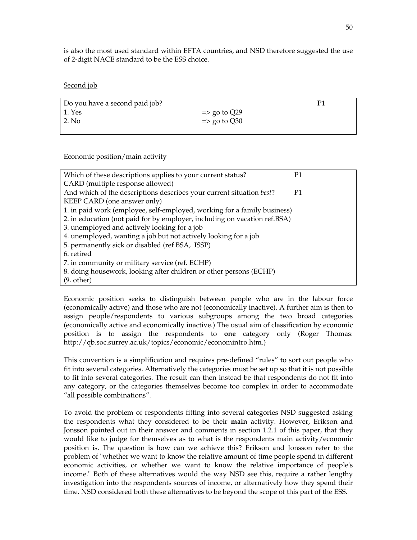is also the most used standard within EFTA countries, and NSD therefore suggested the use of 2-digit NACE standard to be the ESS choice.

#### Second job

| Do you have a second paid job? |                         |  |
|--------------------------------|-------------------------|--|
| 1. Yes                         | $\Rightarrow$ go to Q29 |  |
| 2. No                          | $\Rightarrow$ go to Q30 |  |
|                                |                         |  |

#### Economic position/main activity

| Which of these descriptions applies to your current status?               | P1             |  |  |  |
|---------------------------------------------------------------------------|----------------|--|--|--|
| CARD (multiple response allowed)                                          |                |  |  |  |
| And which of the descriptions describes your current situation best?      | P <sub>1</sub> |  |  |  |
| KEEP CARD (one answer only)                                               |                |  |  |  |
| 1. in paid work (employee, self-employed, working for a family business)  |                |  |  |  |
| 2. in education (not paid for by employer, including on vacation ref.BSA) |                |  |  |  |
| 3. unemployed and actively looking for a job                              |                |  |  |  |
| 4. unemployed, wanting a job but not actively looking for a job           |                |  |  |  |
| 5. permanently sick or disabled (ref BSA, ISSP)                           |                |  |  |  |
| 6. retired                                                                |                |  |  |  |
| 7. in community or military service (ref. ECHP)                           |                |  |  |  |
| 8. doing housework, looking after children or other persons (ECHP)        |                |  |  |  |
| $(9. \text{ other})$                                                      |                |  |  |  |

Economic position seeks to distinguish between people who are in the labour force (economically active) and those who are not (economically inactive). A further aim is then to assign people/respondents to various subgroups among the two broad categories (economically active and economically inactive.) The usual aim of classification by economic position is to assign the respondents to **one** category only (Roger Thomas: http://qb.soc.surrey.ac.uk/topics/economic/economintro.htm.)

This convention is a simplification and requires pre-defined "rules" to sort out people who fit into several categories. Alternatively the categories must be set up so that it is not possible to fit into several categories. The result can then instead be that respondents do not fit into any category, or the categories themselves become too complex in order to accommodate "all possible combinations".

To avoid the problem of respondents fitting into several categories NSD suggested asking the respondents what they considered to be their **main** activity. However, Erikson and Jonsson pointed out in their answer and comments in section 1.2.1 of this paper, that they would like to judge for themselves as to what is the respondents main activity/economic position is. The question is how can we achieve this? Erikson and Jonsson refer to the problem of "whether we want to know the relative amount of time people spend in different economic activities, or whether we want to know the relative importance of people's income." Both of these alternatives would the way NSD see this, require a rather lengthy investigation into the respondents sources of income, or alternatively how they spend their time. NSD considered both these alternatives to be beyond the scope of this part of the ESS.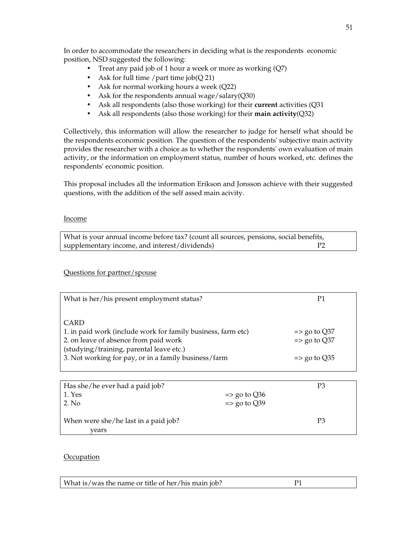In order to accommodate the researchers in deciding what is the respondents economic position, NSD suggested the following:

- Treat any paid job of 1 hour a week or more as working  $(Q7)$
- Ask for full time / part time  $job(Q 21)$
- Ask for normal working hours a week (Q22)
- Ask for the respondents annual wage/salary(Q30)
- Ask all respondents (also those working) for their **current** activities (Q31
- Ask all respondents (also those working) for their **main activity**(Q32)

Collectively, this information will allow the researcher to judge for herself what should be the respondents economic position. The question of the respondents' subjective main activity provides the researcher with a choice as to whether the respondents' own evaluation of main activity, or the information on employment status, number of hours worked, etc. defines the respondents' economic position.

This proposal includes all the information Erikson and Jonsson achieve with their suggested questions, with the addition of the self assed main acivity.

### Income

What is your annual income before tax? (count all sources, pensions, social benefits, supplementary income, and interest/dividends) P2

Questions for partner/spouse

| What is her/his present employment status?                   | P1                      |
|--------------------------------------------------------------|-------------------------|
|                                                              |                         |
| CARD                                                         |                         |
| 1. in paid work (include work for family business, farm etc) | $\Rightarrow$ go to Q37 |
| 2. on leave of absence from paid work                        | $\Rightarrow$ go to Q37 |
| (studying/training, parental leave etc.)                     |                         |
| 3. Not working for pay, or in a family business/farm         | $\Rightarrow$ go to Q35 |
|                                                              |                         |

| Has she/he ever had a paid job?      |                         | P3             |
|--------------------------------------|-------------------------|----------------|
| 1. Yes                               | $\Rightarrow$ go to Q36 |                |
| 2. No                                | $\Rightarrow$ go to Q39 |                |
|                                      |                         |                |
| When were she/he last in a paid job? |                         | P <sub>3</sub> |
| vears                                |                         |                |

# **Occupation**

| What is/was the name or title of her/his main job? |  |
|----------------------------------------------------|--|
|                                                    |  |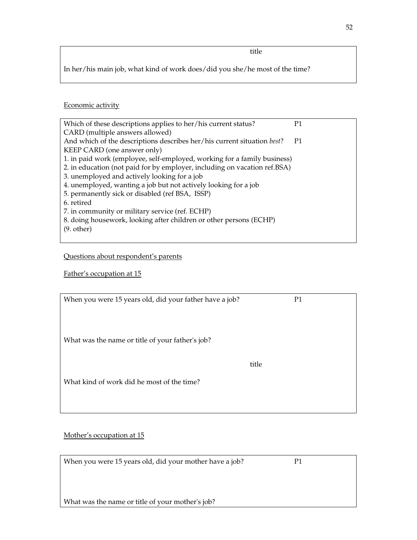In her/his main job, what kind of work does/did you she/he most of the time?

# Economic activity

| Which of these descriptions applies to her/his current status?            | P <sub>1</sub> |
|---------------------------------------------------------------------------|----------------|
| CARD (multiple answers allowed)                                           |                |
| And which of the descriptions describes her/his current situation best?   | P1             |
| KEEP CARD (one answer only)                                               |                |
| 1. in paid work (employee, self-employed, working for a family business)  |                |
| 2. in education (not paid for by employer, including on vacation ref.BSA) |                |
| 3. unemployed and actively looking for a job                              |                |
| 4. unemployed, wanting a job but not actively looking for a job           |                |
| 5. permanently sick or disabled (ref BSA, ISSP)                           |                |
| 6. retired                                                                |                |
| 7. in community or military service (ref. ECHP)                           |                |
| 8. doing housework, looking after children or other persons (ECHP)        |                |
| $(9. \text{ other})$                                                      |                |
|                                                                           |                |

# Questions about respondent's parents

# Father's occupation at 15

| When you were 15 years old, did your father have a job? | P <sub>1</sub> |
|---------------------------------------------------------|----------------|
|                                                         |                |
|                                                         |                |
| What was the name or title of your father's job?        |                |
|                                                         |                |
|                                                         | title          |
| What kind of work did he most of the time?              |                |
|                                                         |                |
|                                                         |                |

# Mother's occupation at 15

| When you were 15 years old, did your mother have a job? |  |
|---------------------------------------------------------|--|
|                                                         |  |
|                                                         |  |

What was the name or title of your mother's job?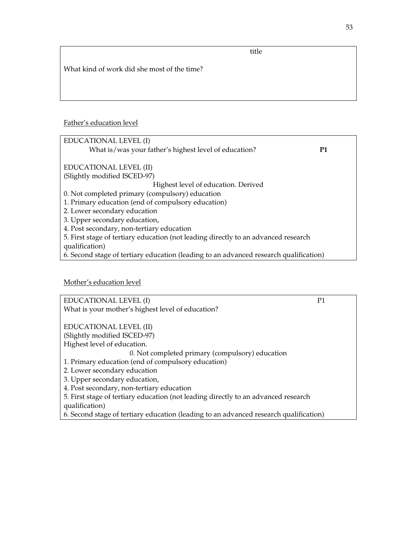title

What kind of work did she most of the time?

### Father's education level

# Mother's education level

EDUCATIONAL LEVEL (I) P1 What is your mother's highest level of education? EDUCATIONAL LEVEL (II) (Slightly modified ISCED-97) Highest level of education. 0. Not completed primary (compulsory) education 1. Primary education (end of compulsory education) 2. Lower secondary education 3. Upper secondary education, 4. Post secondary, non-tertiary education 5. First stage of tertiary education (not leading directly to an advanced research qualification)

6. Second stage of tertiary education (leading to an advanced research qualification)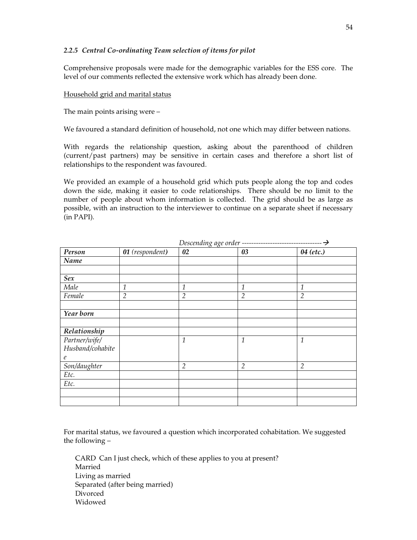# *2.2.5 Central Co-ordinating Team selection of items for pilot*

Comprehensive proposals were made for the demographic variables for the ESS core. The level of our comments reflected the extensive work which has already been done.

#### Household grid and marital status

The main points arising were –

We favoured a standard definition of household, not one which may differ between nations.

With regards the relationship question, asking about the parenthood of children (current/past partners) may be sensitive in certain cases and therefore a short list of relationships to the respondent was favoured.

We provided an example of a household grid which puts people along the top and codes down the side, making it easier to code relationships. There should be no limit to the number of people about whom information is collected. The grid should be as large as possible, with an instruction to the interviewer to continue on a separate sheet if necessary (in PAPI).

| Person           | 01 (respondent) | 02             | 03             | 04 (etc.)      |
|------------------|-----------------|----------------|----------------|----------------|
| Name             |                 |                |                |                |
|                  |                 |                |                |                |
| Sex              |                 |                |                |                |
| Male             | $\mathfrak 1$   | 1              | 1              | 1              |
| Female           | $\overline{2}$  | $\overline{2}$ | $\overline{2}$ | $\overline{2}$ |
|                  |                 |                |                |                |
| Year born        |                 |                |                |                |
|                  |                 |                |                |                |
| Relationship     |                 |                |                |                |
| Partner/wife/    |                 | $\mathbf{1}$   | 1              | 1              |
| Husband/cohabite |                 |                |                |                |
| $\mathfrak{e}$   |                 |                |                |                |
| Son/daughter     |                 | $\overline{2}$ | $\overline{2}$ | $\overline{2}$ |
| Etc.             |                 |                |                |                |
| Etc.             |                 |                |                |                |
|                  |                 |                |                |                |
|                  |                 |                |                |                |

 $Dsecondino, aog, ordov$ 

For marital status, we favoured a question which incorporated cohabitation. We suggested the following –

CARD Can I just check, which of these applies to you at present? Married Living as married Separated (after being married) Divorced Widowed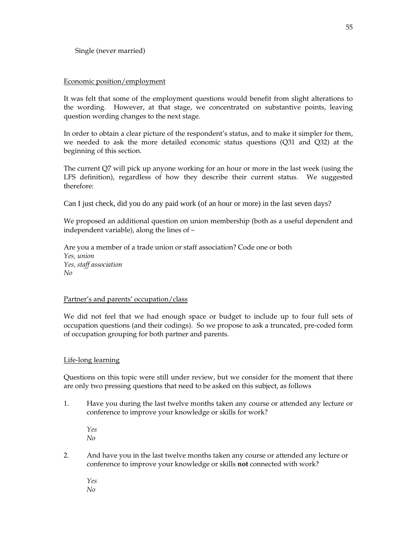### Economic position/employment

It was felt that some of the employment questions would benefit from slight alterations to the wording. However, at that stage, we concentrated on substantive points, leaving question wording changes to the next stage.

In order to obtain a clear picture of the respondent's status, and to make it simpler for them, we needed to ask the more detailed economic status questions (Q31 and Q32) at the beginning of this section.

The current Q7 will pick up anyone working for an hour or more in the last week (using the LFS definition), regardless of how they describe their current status. We suggested therefore:

Can I just check, did you do any paid work (of an hour or more) in the last seven days?

We proposed an additional question on union membership (both as a useful dependent and independent variable), along the lines of –

Are you a member of a trade union or staff association? Code one or both *Yes, union Yes, staff association No*

#### Partner's and parents' occupation/class

We did not feel that we had enough space or budget to include up to four full sets of occupation questions (and their codings). So we propose to ask a truncated, pre-coded form of occupation grouping for both partner and parents.

#### Life-long learning

Questions on this topic were still under review, but we consider for the moment that there are only two pressing questions that need to be asked on this subject, as follows

1. Have you during the last twelve months taken any course or attended any lecture or conference to improve your knowledge or skills for work?

*Yes No* 

- 2.And have you in the last twelve months taken any course or attended any lecture or conference to improve your knowledge or skills **not** connected with work?
	- *Yes No*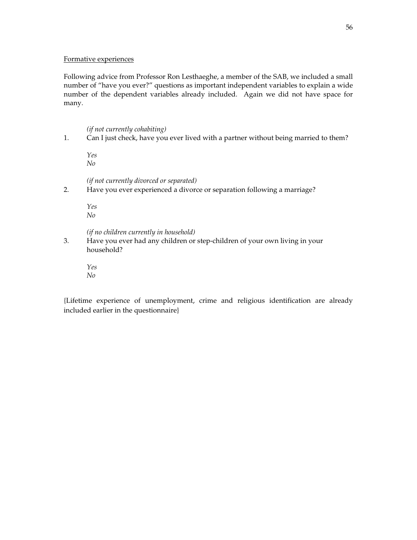#### Formative experiences

Following advice from Professor Ron Lesthaeghe, a member of the SAB, we included a small number of "have you ever?" questions as important independent variables to explain a wide number of the dependent variables already included. Again we did not have space for many.

#### *(if not currently cohabiting)*

1. Can I just check, have you ever lived with a partner without being married to them?

*Yes No* 

 *(if not currently divorced or separated)* 

2. Have you ever experienced a divorce or separation following a marriage?

*Yes No* 

*(if no children currently in household)* 

3. Have you ever had any children or step-children of your own living in your household?

*Yes No*

{Lifetime experience of unemployment, crime and religious identification are already included earlier in the questionnaire}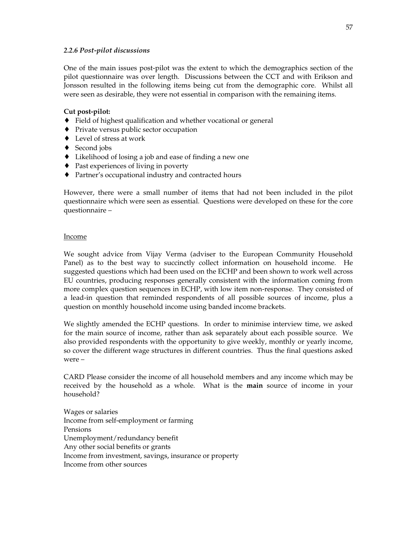### *2.2.6 Post-pilot discussions*

One of the main issues post-pilot was the extent to which the demographics section of the pilot questionnaire was over length. Discussions between the CCT and with Erikson and Jonsson resulted in the following items being cut from the demographic core. Whilst all were seen as desirable, they were not essential in comparison with the remaining items.

# **Cut post-pilot:**

- ♦ Field of highest qualification and whether vocational or general
- ♦ Private versus public sector occupation
- ♦ Level of stress at work
- ◆ Second jobs
- ♦ Likelihood of losing a job and ease of finding a new one
- ♦ Past experiences of living in poverty
- ♦ Partner's occupational industry and contracted hours

However, there were a small number of items that had not been included in the pilot questionnaire which were seen as essential. Questions were developed on these for the core questionnaire –

# Income

We sought advice from Vijay Verma (adviser to the European Community Household Panel) as to the best way to succinctly collect information on household income. He suggested questions which had been used on the ECHP and been shown to work well across EU countries, producing responses generally consistent with the information coming from more complex question sequences in ECHP, with low item non-response. They consisted of a lead-in question that reminded respondents of all possible sources of income, plus a question on monthly household income using banded income brackets.

We slightly amended the ECHP questions. In order to minimise interview time, we asked for the main source of income, rather than ask separately about each possible source. We also provided respondents with the opportunity to give weekly, monthly or yearly income, so cover the different wage structures in different countries. Thus the final questions asked were –

CARD Please consider the income of all household members and any income which may be received by the household as a whole. What is the **main** source of income in your household?

Wages or salaries Income from self-employment or farming Pensions Unemployment/redundancy benefit Any other social benefits or grants Income from investment, savings, insurance or property Income from other sources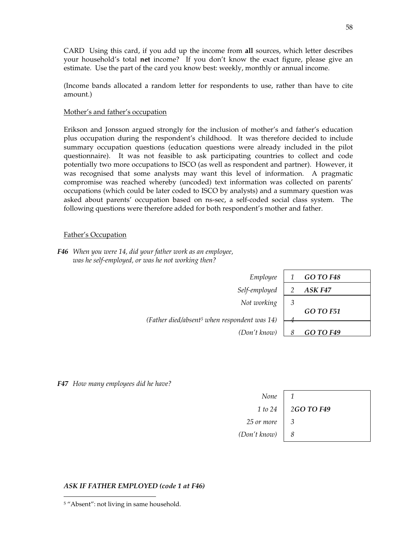CARD Using this card, if you add up the income from **all** sources, which letter describes your household's total **net** income? If you don't know the exact figure, please give an estimate. Use the part of the card you know best: weekly, monthly or annual income.

(Income bands allocated a random letter for respondents to use, rather than have to cite amount.)

#### Mother's and father's occupation

Erikson and Jonsson argued strongly for the inclusion of mother's and father's education plus occupation during the respondent's childhood. It was therefore decided to include summary occupation questions (education questions were already included in the pilot questionnaire). It was not feasible to ask participating countries to collect and code potentially two more occupations to ISCO (as well as respondent and partner). However, it was recognised that some analysts may want this level of information. A pragmatic compromise was reached whereby (uncoded) text information was collected on parents' occupations (which could be later coded to ISCO by analysts) and a summary question was asked about parents' occupation based on ns-sec, a self-coded social class system. The following questions were therefore added for both respondent's mother and father.

#### Father's Occupation

 *F46 When you were 14, did your father work as an employee, was he self-employed, or was he not working then?*

| Employee                                                 |   | <b>GO TO F48</b> |
|----------------------------------------------------------|---|------------------|
| Self-employed                                            |   | ASK F47          |
| Not working                                              | 3 |                  |
|                                                          |   | <b>GO TO F51</b> |
| (Father died/absent <sup>5</sup> when respondent was 14) |   |                  |
| (Don't know)                                             |   | <b>GO TO F49</b> |

 *F47 How many employees did he have?* 

| None                                |                      |
|-------------------------------------|----------------------|
|                                     | 1 to 24   2GO TO F49 |
| 25 or more $\begin{array}{ c c }$ 3 |                      |
| $(Don't know)$   8                  |                      |

#### *ASK IF FATHER EMPLOYED (code 1 at F46)*

j

<sup>5</sup> "Absent": not living in same household.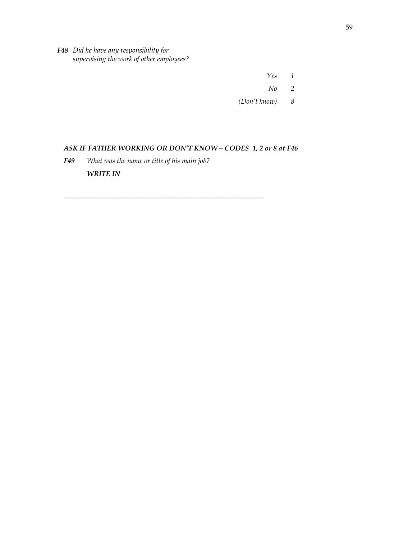*F48 Did he have any responsibility for supervising the work of other employees?* 

 *Yes 1 No 2* 

 *(Don't know) 8* 

# *ASK IF FATHER WORKING OR DON'T KNOW – CODES 1, 2 or 8 at F46*

*\_\_\_\_\_\_\_\_\_\_\_\_\_\_\_\_\_\_\_\_\_\_\_\_\_\_\_\_\_\_\_\_\_\_\_\_\_\_\_\_\_\_\_\_\_\_\_\_\_\_\_\_\_\_\_\_\_* 

*F49 What was the name or title of his main job? WRITE IN*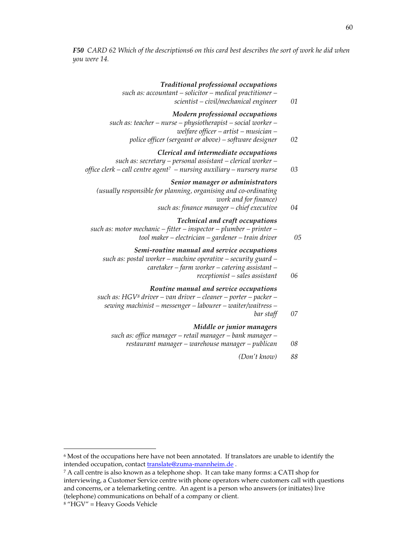*F50 CARD 62 Which of the descriptions6 on this card best describes the sort of work he did when you were 14.* 

| 01 | Traditional professional occupations<br>such as: accountant - solicitor - medical practitioner -<br>scientist - civil/mechanical engineer                                                                |
|----|----------------------------------------------------------------------------------------------------------------------------------------------------------------------------------------------------------|
| 02 | Modern professional occupations<br>such as: teacher - nurse - physiotherapist - social worker -<br>welfare officer $-$ artist $-$ musician $-$<br>police officer (sergeant or above) – software designer |
| 03 | Clerical and intermediate occupations<br>such as: secretary – personal assistant – clerical worker –<br>office clerk – call centre agent <sup>7</sup> – nursing auxiliary – nursery nurse                |
| 04 | Senior manager or administrators<br>(usually responsible for planning, organising and co-ordinating<br>work and for finance)<br>such as: finance manager - chief executive                               |
| 05 | Technical and craft occupations<br>such as: motor mechanic $-$ fitter $-$ inspector $-$ plumber $-$ printer $-$<br>tool maker $-e$ lectrician $-$ gardener $-$ train driver                              |
| 06 | Semi-routine manual and service occupations<br>such as: postal worker - machine operative - security guard -<br>caretaker – farm worker – catering assistant –<br>$receptionist - sales assistant$       |
| 07 | Routine manual and service occupations<br>such as: HGV <sup>8</sup> driver - van driver - cleaner - porter - packer -<br>sewing machinist - messenger - labourer - waiter/waitress -<br>bar staff        |
| 08 | Middle or junior managers<br>such as: office manager - retail manager - bank manager -<br>restaurant manager - warehouse manager - publican                                                              |
| 88 | (Don't know)                                                                                                                                                                                             |
|    |                                                                                                                                                                                                          |

j

 $^6$  Most of the occupations here have not been annotated. If translators are unable to identify the  $\,$ intended occupation, contact **translate@zuma-mannheim.de**.

<sup>7</sup> A call centre is also known as a telephone shop. It can take many forms: a CATI shop for interviewing, a Customer Service centre with phone operators where customers call with questions and concerns, or a telemarketing centre. An agent is a person who answers (or initiates) live (telephone) communications on behalf of a company or client.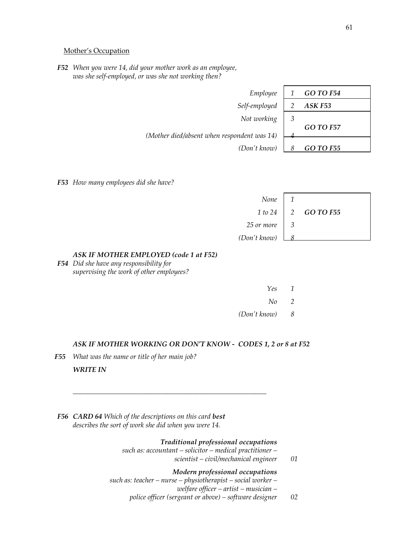#### Mother's Occupation

 *F52 When you were 14, did your mother work as an employee, was she self-employed, or was she not working then?* 

| Employee                                    |   | <b>GO TO F54</b>   |
|---------------------------------------------|---|--------------------|
| Self-employed                               |   | ASK <sub>F53</sub> |
| Not working                                 | 3 |                    |
|                                             |   | <b>GO TO F57</b>   |
| (Mother died/absent when respondent was 14) |   |                    |
| (Don't know)                                |   | <b>GO TO F55</b>   |

*F53 How many employees did she have?* 

| None '                                       |                                |  |
|----------------------------------------------|--------------------------------|--|
|                                              | $1 to 24$   2 <b>GO TO F55</b> |  |
| 25 or more $\begin{vmatrix} 3 \end{vmatrix}$ |                                |  |
| (Don't know)                                 |                                |  |

# *ASK IF MOTHER EMPLOYED (code 1 at F52)*

 *F54 Did she have any responsibility for supervising the work of other employees?* 

| Yes 1  |  |
|--------|--|
| $No$ 2 |  |

 *(Don't know) 8* 

#### *ASK IF MOTHER WORKING OR DON'T KNOW - CODES 1, 2 or 8 at F52*

*F55 What was the name or title of her main job?* 

# *WRITE IN*

 *F56 CARD 64 Which of the descriptions on this card best describes the sort of work she did when you were 14.* 

 *\_\_\_\_\_\_\_\_\_\_\_\_\_\_\_\_\_\_\_\_\_\_\_\_\_\_\_\_\_\_\_\_\_\_\_\_\_\_\_\_\_\_\_\_\_\_\_\_\_\_\_\_\_\_\_* 

 *Traditional professional occupations* 

 *such as: accountant – solicitor – medical practitioner – scientist – civil/mechanical engineer 01* 

#### *Modern professional occupations*

 *such as: teacher – nurse – physiotherapist – social worker –* 

 *welfare officer – artist – musician –* 

 *police officer (sergeant or above) – software designer 02*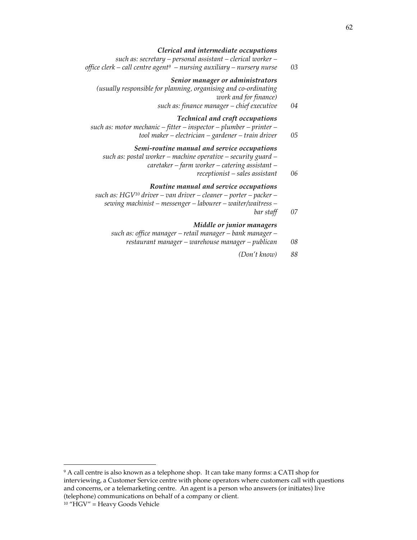#### *Clerical and intermediate occupations*

 *such as: secretary – personal assistant – clerical worker –* 

 *office clerk – call centre agent9 – nursing auxiliary – nursery nurse 03* 

### *Senior manager or administrators*

 *(usually responsible for planning, organising and co-ordinating work and for finance) such as: finance manager – chief executive 04* 

#### *Technical and craft occupations*

 *such as: motor mechanic – fitter – inspector – plumber – printer – tool maker – electrician – gardener – train driver 05* 

#### *Semi-routine manual and service occupations*

 *such as: postal worker – machine operative – security guard –* 

- *caretaker farm worker catering assistant* 
	- *receptionist sales assistant 06*

#### *Routine manual and service occupations*

 *such as: HGV10 driver – van driver – cleaner – porter – packer –* 

- *sewing machinist messenger labourer waiter/waitress*
- *bar staff 07*

#### *Middle or junior managers*

- *such as: office manager retail manager bank manager* 
	- *restaurant manager warehouse manager publican 08* 
		- *(Don't know) 88*

1

<sup>9</sup> A call centre is also known as a telephone shop. It can take many forms: a CATI shop for interviewing, a Customer Service centre with phone operators where customers call with questions and concerns, or a telemarketing centre. An agent is a person who answers (or initiates) live (telephone) communications on behalf of a company or client.

<sup>10</sup> "HGV" = Heavy Goods Vehicle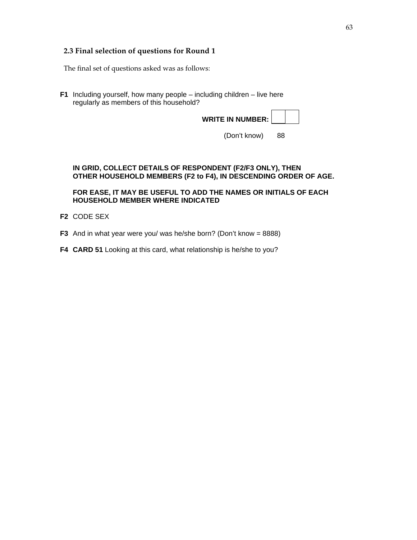# **2.3 Final selection of questions for Round 1**

The final set of questions asked was as follows:

**F1** Including yourself, how many people – including children – live here regularly as members of this household?

| <b>WRITE IN NUMBER:</b> |  |
|-------------------------|--|

(Don't know) 88

### **IN GRID, COLLECT DETAILS OF RESPONDENT (F2/F3 ONLY), THEN OTHER HOUSEHOLD MEMBERS (F2 to F4), IN DESCENDING ORDER OF AGE.**

 **FOR EASE, IT MAY BE USEFUL TO ADD THE NAMES OR INITIALS OF EACH HOUSEHOLD MEMBER WHERE INDICATED** 

- **F2** CODE SEX
- **F3** And in what year were you/ was he/she born? (Don't know = 8888)
- **F4 CARD 51** Looking at this card, what relationship is he/she to you?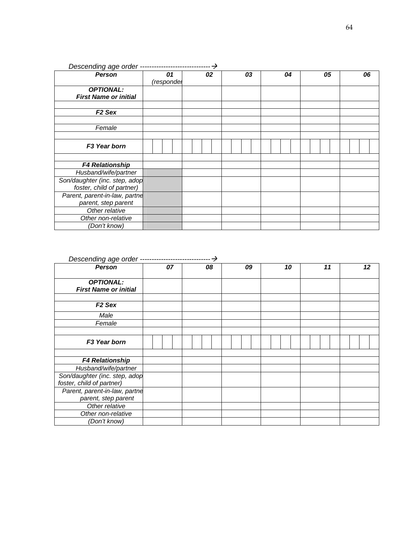| <b>Person</b>                 | 01         | 02 | 03 | 04 | 05 | 06 |
|-------------------------------|------------|----|----|----|----|----|
|                               | (respondel |    |    |    |    |    |
| <b>OPTIONAL:</b>              |            |    |    |    |    |    |
| <b>First Name or initial</b>  |            |    |    |    |    |    |
|                               |            |    |    |    |    |    |
| F <sub>2</sub> Sex            |            |    |    |    |    |    |
|                               |            |    |    |    |    |    |
| Female                        |            |    |    |    |    |    |
|                               |            |    |    |    |    |    |
| F <sub>3</sub> Year born      |            |    |    |    |    |    |
|                               |            |    |    |    |    |    |
| <b>F4 Relationship</b>        |            |    |    |    |    |    |
| Husband/wife/partner          |            |    |    |    |    |    |
| Son/daughter (inc. step, adop |            |    |    |    |    |    |
| foster, child of partner)     |            |    |    |    |    |    |
| Parent, parent-in-law, partne |            |    |    |    |    |    |
| parent, step parent           |            |    |    |    |    |    |
| Other relative                |            |    |    |    |    |    |
| Other non-relative            |            |    |    |    |    |    |
| (Don't know)                  |            |    |    |    |    |    |

| Descending age order -                                     |    |  |  |    |  |    |  |    |  |  |    |  |    |  |
|------------------------------------------------------------|----|--|--|----|--|----|--|----|--|--|----|--|----|--|
| <b>Person</b>                                              | 07 |  |  | 08 |  | 09 |  | 10 |  |  | 11 |  | 12 |  |
| <b>OPTIONAL:</b><br><b>First Name or initial</b>           |    |  |  |    |  |    |  |    |  |  |    |  |    |  |
| F <sub>2</sub> Sex                                         |    |  |  |    |  |    |  |    |  |  |    |  |    |  |
| Male                                                       |    |  |  |    |  |    |  |    |  |  |    |  |    |  |
| Female                                                     |    |  |  |    |  |    |  |    |  |  |    |  |    |  |
|                                                            |    |  |  |    |  |    |  |    |  |  |    |  |    |  |
| F <sub>3</sub> Year born                                   |    |  |  |    |  |    |  |    |  |  |    |  |    |  |
|                                                            |    |  |  |    |  |    |  |    |  |  |    |  |    |  |
| <b>F4 Relationship</b>                                     |    |  |  |    |  |    |  |    |  |  |    |  |    |  |
| Husband/wife/partner                                       |    |  |  |    |  |    |  |    |  |  |    |  |    |  |
| Son/daughter (inc. step, adop<br>foster, child of partner) |    |  |  |    |  |    |  |    |  |  |    |  |    |  |
| Parent, parent-in-law, partne<br>parent, step parent       |    |  |  |    |  |    |  |    |  |  |    |  |    |  |
| Other relative                                             |    |  |  |    |  |    |  |    |  |  |    |  |    |  |
| Other non-relative                                         |    |  |  |    |  |    |  |    |  |  |    |  |    |  |
| (Don't know)                                               |    |  |  |    |  |    |  |    |  |  |    |  |    |  |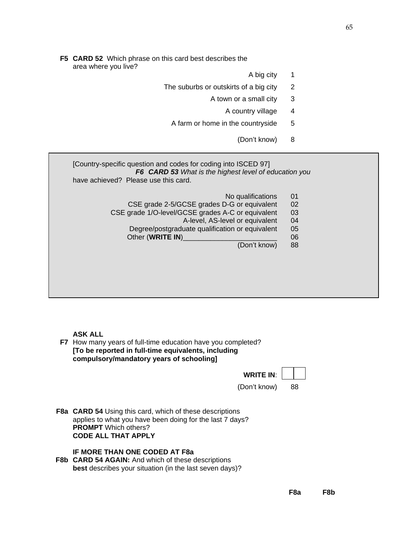- **F5 CARD 52** Which phrase on this card best describes the area where you live?
	- A big city 1
	- The suburbs or outskirts of a big city 2
		- A town or a small city 3
			- A country village 4
		- A farm or home in the countryside 5
			- (Don't know) 8

| [Country-specific question and codes for coding into ISCED 97]<br>F6 CARD 53 What is the highest level of education you<br>have achieved? Please use this card.                                                                 |                                  |
|---------------------------------------------------------------------------------------------------------------------------------------------------------------------------------------------------------------------------------|----------------------------------|
| No qualifications<br>CSE grade 2-5/GCSE grades D-G or equivalent<br>CSE grade 1/O-level/GCSE grades A-C or equivalent<br>A-level, AS-level or equivalent<br>Degree/postgraduate qualification or equivalent<br>Other (WRITE IN) | 01<br>02<br>03<br>04<br>05<br>06 |
| (Don't know)                                                                                                                                                                                                                    | 88                               |

 **ASK ALL** 

 **F7** How many years of full-time education have you completed?  **[To be reported in full-time equivalents, including compulsory/mandatory years of schooling]**



 **F8a CARD 54** Using this card, which of these descriptions applies to what you have been doing for the last 7 days? **PROMPT** Which others? **CODE ALL THAT APPLY** 

### **IF MORE THAN ONE CODED AT F8a**

 **F8b CARD 54 AGAIN:** And which of these descriptions **best** describes your situation (in the last seven days)?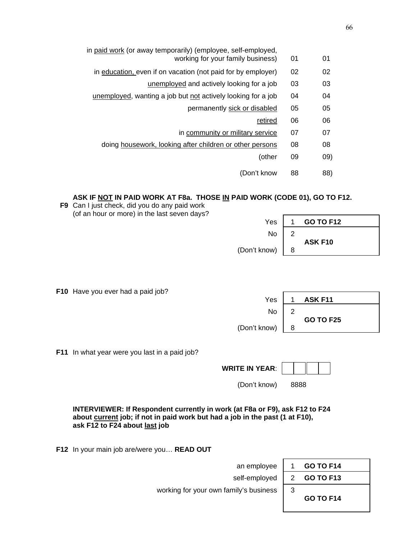| 01  | 01 | in paid work (or away temporarily) (employee, self-employed,<br>working for your family business) |
|-----|----|---------------------------------------------------------------------------------------------------|
| 02  | 02 | in education, even if on vacation (not paid for by employer)                                      |
| 03  | 03 | unemployed and actively looking for a job                                                         |
| 04  | 04 | unemployed, wanting a job but not actively looking for a job                                      |
| 05  | 05 | permanently sick or disabled                                                                      |
| 06  | 06 | retired                                                                                           |
| 07  | 07 | in community or military service                                                                  |
| 08  | 08 | doing housework, looking after children or other persons                                          |
| 09) | 09 | (other                                                                                            |
| 88) | 88 | (Don't know                                                                                       |

### **ASK IF NOT IN PAID WORK AT F8a. THOSE IN PAID WORK (CODE 01), GO TO F12.**

 **F9** Can I just check, did you do any paid work (of an hour or more) in the last seven days?

| (or an nour or more) in the last seven days? |              |   |                  |
|----------------------------------------------|--------------|---|------------------|
|                                              | Yes          |   | <b>GO TO F12</b> |
|                                              | No           | ີ |                  |
|                                              | (Don't know) | 8 | ASK F10          |
|                                              |              |   |                  |

**GO TO F25** 

 **F10** Have you ever had a paid job?

 **F11** In what year were you last in a paid job?

**WRITE IN YEAR**:

(Don't know) 8888

 **INTERVIEWER: If Respondent currently in work (at F8a or F9), ask F12 to F24 about current job; if not in paid work but had a job in the past (1 at F10), ask F12 to F24 about last job**

 $\mathsf{No} \mid 2$ 

 **F12** In your main job are/were you… **READ OUT**

 an employee 1 **GO TO F14** self-employed 2 **GO TO F13** 

66

working for your own family's business  $\begin{vmatrix} 3 \end{vmatrix}$ 

**GO TO F14**

(Don't know)  $\begin{array}{|c|c|} \hline \end{array}$  8

Yes | 1 **ASK F11**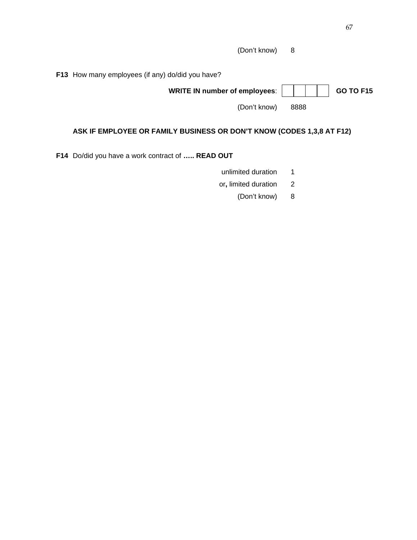| (Don't know) 8 |
|----------------|
|----------------|

 **F13** How many employees (if any) do/did you have?

| WRITE IN number of employees: |  |  |  | <b>GO TO F15</b> |  |
|-------------------------------|--|--|--|------------------|--|
|                               |  |  |  |                  |  |

(Don't know) 8888

# **ASK IF EMPLOYEE OR FAMILY BUSINESS OR DON'T KNOW (CODES 1,3,8 AT F12)**

 **F14** Do/did you have a work contract of **….. READ OUT** 

- unlimited duration 1
- or**,** limited duration2
	- (Don't know) 8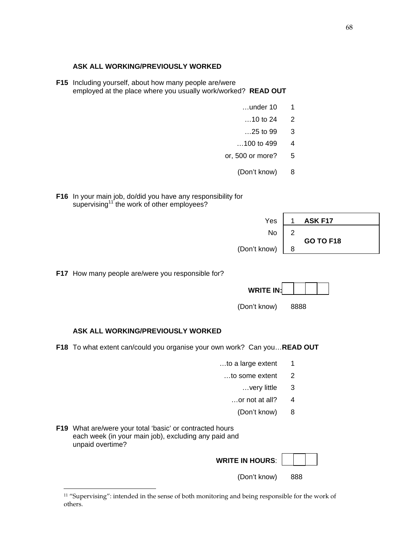68

### **ASK ALL WORKING/PREVIOUSLY WORKED**

 **F15** Including yourself, about how many people are/were employed at the place where you usually work/worked? **READ OUT** 

- **...under 10 1**
- $...10$  to 24 2
- …25 to 99 3
- $\dots$ 100 to 499 4
- or, 500 or more? 5
	- (Don't know) 8

 **F16** In your main job, do/did you have any responsibility for supervising<sup>11</sup> the work of other employees?

| Yes          |                    | ASK F17          |
|--------------|--------------------|------------------|
| No           | $\sim$<br><u>.</u> |                  |
| (Don't know) | 8                  | <b>GO TO F18</b> |

**F17** How many people are/were you responsible for?

(Don't know) 8888

# **ASK ALL WORKING/PREVIOUSLY WORKED**

 **F18** To what extent can/could you organise your own work? Can you…**READ OUT**

- $\ldots$ to a large extent 1
	- ...to some extent 2
		- …very little 3
		- $\ldots$ or not at all? 4
			- (Don't know) 8

| F19 What are/were your total 'basic' or contracted hours |
|----------------------------------------------------------|
| each week (in your main job), excluding any paid and     |
| unpaid overtime?                                         |

-

| <b>WRITE IN HOURS:</b> |  |  |
|------------------------|--|--|
|                        |  |  |

(Don't know) 888

<sup>&</sup>lt;sup>11</sup> "Supervising": intended in the sense of both monitoring and being responsible for the work of others.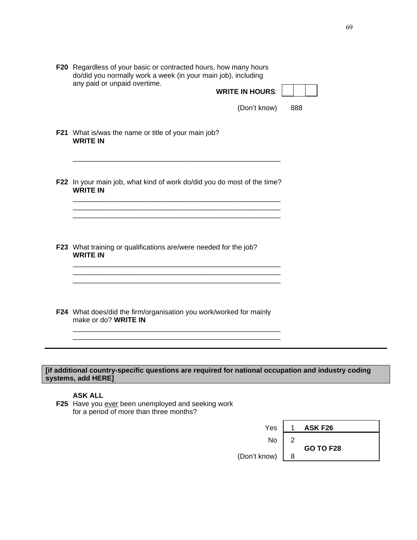| <b>F20</b> Regardless of your basic or contracted hours, how many hours |
|-------------------------------------------------------------------------|
| do/did you normally work a week (in your main job), including           |
| any paid or unpaid overtime.                                            |

| , <u>permeters in permitted</u> in the contract<br><b>WRITE IN HOURS:</b> |  |
|---------------------------------------------------------------------------|--|
|                                                                           |  |

(Don't know) 888

**F21** What is/was the name or title of your main job? **WRITE IN** 

 **F22** In your main job, what kind of work do/did you do most of the time? **WRITE IN** 

 \_\_\_\_\_\_\_\_\_\_\_\_\_\_\_\_\_\_\_\_\_\_\_\_\_\_\_\_\_\_\_\_\_\_\_\_\_\_\_\_\_\_\_\_\_\_\_\_\_\_\_\_\_ \_\_\_\_\_\_\_\_\_\_\_\_\_\_\_\_\_\_\_\_\_\_\_\_\_\_\_\_\_\_\_\_\_\_\_\_\_\_\_\_\_\_\_\_\_\_\_\_\_\_\_\_\_ \_\_\_\_\_\_\_\_\_\_\_\_\_\_\_\_\_\_\_\_\_\_\_\_\_\_\_\_\_\_\_\_\_\_\_\_\_\_\_\_\_\_\_\_\_\_\_\_\_\_\_\_\_

\_\_\_\_\_\_\_\_\_\_\_\_\_\_\_\_\_\_\_\_\_\_\_\_\_\_\_\_\_\_\_\_\_\_\_\_\_\_\_\_\_\_\_\_\_\_\_\_\_\_\_\_\_

 **F23** What training or qualifications are/were needed for the job? **WRITE IN** 

 \_\_\_\_\_\_\_\_\_\_\_\_\_\_\_\_\_\_\_\_\_\_\_\_\_\_\_\_\_\_\_\_\_\_\_\_\_\_\_\_\_\_\_\_\_\_\_\_\_\_\_\_\_ \_\_\_\_\_\_\_\_\_\_\_\_\_\_\_\_\_\_\_\_\_\_\_\_\_\_\_\_\_\_\_\_\_\_\_\_\_\_\_\_\_\_\_\_\_\_\_\_\_\_\_\_\_

 **F24** What does/did the firm/organisation you work/worked for mainly make or do? **WRITE IN** \_\_\_\_\_\_\_\_\_\_\_\_\_\_\_\_\_\_\_\_\_\_\_\_\_\_\_\_\_\_\_\_\_\_\_\_\_\_\_\_\_\_\_\_\_\_\_\_\_\_\_\_\_

\_\_\_\_\_\_\_\_\_\_\_\_\_\_\_\_\_\_\_\_\_\_\_\_\_\_\_\_\_\_\_\_\_\_\_\_\_\_\_\_\_\_\_\_\_\_\_\_\_\_\_\_\_

**[if additional country-specific questions are required for national occupation and industry coding systems, add HERE]** 

# **ASK ALL**

**F25** Have you ever been unemployed and seeking work for a period of more than three months?

| Yes          |        | ASK F26          |
|--------------|--------|------------------|
| No           | റ<br>▃ |                  |
| (Don't know) | 8      | <b>GO TO F28</b> |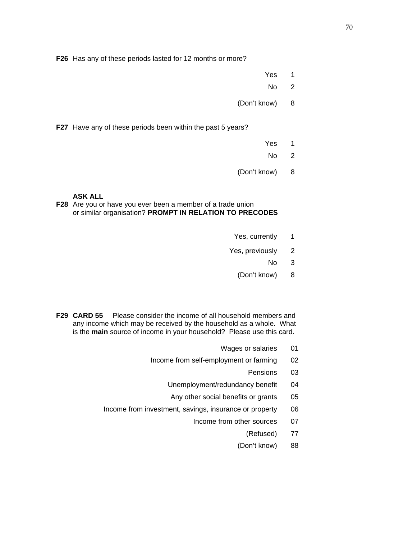**F26** Has any of these periods lasted for 12 months or more?

- **The Contract of Contract Contract of Contract Contract Contract Only 1980**
- not a series that the series of the series of the series of the series of the series of the series of the series of the series of the series of the series of the series of the series of the series of the series of the seri
	- (Don't know) 8

 **F27** Have any of these periods been within the past 5 years?

- **The Contract of Contract Contract of Contract Contract Contract Only 1980**
- No 2
	- (Don't know) 8

 **ASK ALL** 

 **F28** Are you or have you ever been a member of a trade union or similar organisation? **PROMPT IN RELATION TO PRECODES** 

- Yes, currently 1
- Yes, previously 2
- no service and the service of the service of the service of the service of the service of the service of the s
	- (Don't know) 8
	- **F29 CARD 55** Please consider the income of all household members and any income which may be received by the household as a whole. What is the **main** source of income in your household? Please use this card.
		- Wages or salaries 01
		- Income from self-employment or farming 02
- **Pensions 03 Pensions** 03
	- Unemployment/redundancy benefit 04
	- Any other social benefits or grants 05
	- Income from investment, savings, insurance or property 06
		- Income from other sources 07
			- (Refused) 77
			- (Don't know) 88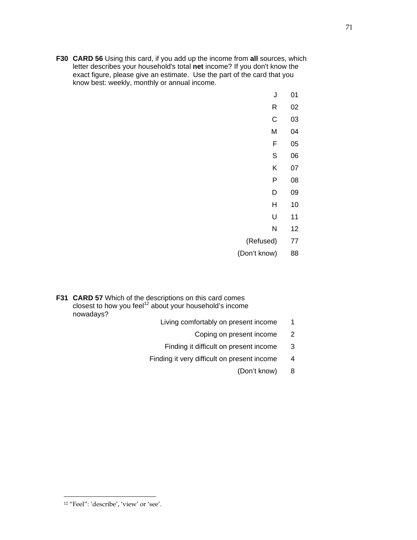**F30 CARD 56** Using this card, if you add up the income from **all** sources, which letter describes your household's total **net** income? If you don't know the exact figure, please give an estimate. Use the part of the card that you know best: weekly, monthly or annual income.

| 01         | J            |
|------------|--------------|
| 02         | R            |
| 03         | $\mathsf C$  |
| 04         | M            |
| 05         | F            |
| 06         | $\mathbb S$  |
| 07         | Κ            |
| ${\bf 08}$ | P            |
| 09         | D            |
| $10$       | Н            |
| 11         | U            |
| 12         | ${\sf N}$    |
| 77         | (Refused)    |
| 88         | (Don't know) |
|            |              |

- **F31 CARD 57** Which of the descriptions on this card comes closest to how you feel<sup>12</sup> about your household's income nowadays?
	- Living comfortably on present income 1
		- Coping on present income 2
		- Finding it difficult on present income 3
	- Finding it very difficult on present income 4
		- (Don't know) 8

j 12 "Feel": 'describe', 'view' or 'see'.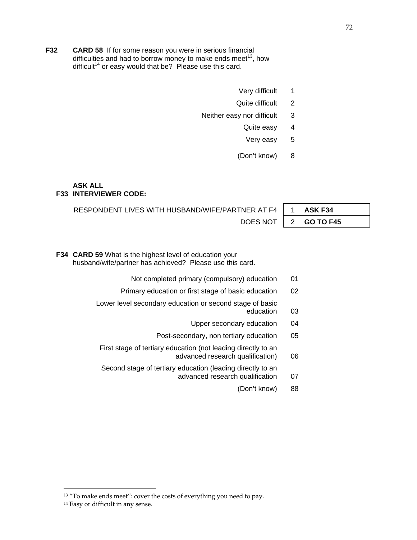- **F32 CARD 58** If for some reason you were in serious financial difficulties and had to borrow money to make ends meet<sup>13</sup>, how difficult<sup>14</sup> or easy would that be? Please use this card.
	- Very difficult 1
	- Quite difficult 2
	- Neither easy nor difficult 3
		- Quite easy 4
			- Very easy 5
		- (Don't know) 8

#### **ASK ALL F33 INTERVIEWER CODE:**

RESPONDENT LIVES WITH HUSBAND/WIFE/PARTNER AT F4 | 1 **ASK F34** DOES NOT | 2 **GO TO F45** 

**F34 CARD 59** What is the highest level of education your husband/wife/partner has achieved? Please use this card.

- Not completed primary (compulsory) education 01
- Primary education or first stage of basic education 02
- Lower level secondary education or second stage of basic education 03
	- Upper secondary education 04
	- Post-secondary, non tertiary education 05
- First stage of tertiary education (not leading directly to an advanced research qualification) 06
- Second stage of tertiary education (leading directly to an
	- advanced research qualification 07
		- (Don't know) 88

-

<sup>&</sup>lt;sup>13</sup> "To make ends meet": cover the costs of everything you need to pay.

<sup>&</sup>lt;sup>14</sup> Easy or difficult in any sense.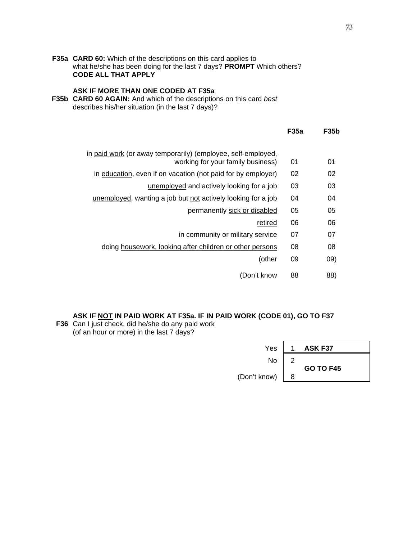**F35a CARD 60:** Which of the descriptions on this card applies to what he/she has been doing for the last 7 days? **PROMPT** Which others? **CODE ALL THAT APPLY**

# **ASK IF MORE THAN ONE CODED AT F35a**

F35b CARD 60 AGAIN: And which of the descriptions on this card best describes his/her situation (in the last 7 days)?

|                                                                                                   | <b>F35a</b> | <b>F35b</b> |
|---------------------------------------------------------------------------------------------------|-------------|-------------|
| in paid work (or away temporarily) (employee, self-employed,<br>working for your family business) | 01          | 01          |
| in education, even if on vacation (not paid for by employer)                                      | 02          | 02          |
| unemployed and actively looking for a job                                                         | 03          | 03          |
| unemployed, wanting a job but not actively looking for a job                                      | 04          | 04          |
| permanently sick or disabled                                                                      | 05          | 05          |
| retired                                                                                           | 06          | 06          |
| in community or military service                                                                  | 07          | 07          |
| doing housework, looking after children or other persons                                          | 08          | 08          |
| (other                                                                                            | 09          | (09)        |
| (Don't know                                                                                       | 88          | 88)         |

# **ASK IF NOT IN PAID WORK AT F35a. IF IN PAID WORK (CODE 01), GO TO F37**

**F36** Can I just check, did he/she do any paid work (of an hour or more) in the last 7 days?

| Yes          |                    | ASK F37          |
|--------------|--------------------|------------------|
| No           | $\sim$<br><u>.</u> |                  |
| (Don't know) | 8                  | <b>GO TO F45</b> |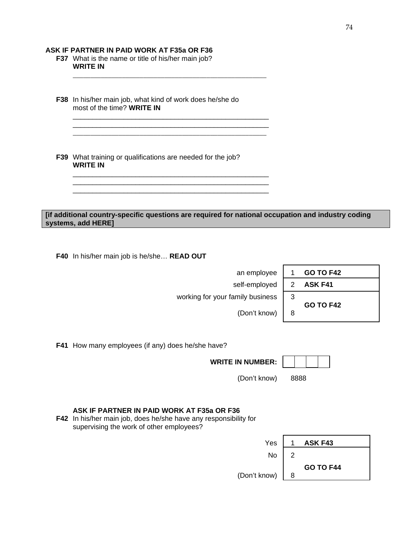### **ASK IF PARTNER IN PAID WORK AT F35a OR F36**

- **F37** What is the name or title of his/her main job?  **WRITE IN**
- **F38** In his/her main job, what kind of work does he/she do most of the time? **WRITE IN**

 \_\_\_\_\_\_\_\_\_\_\_\_\_\_\_\_\_\_\_\_\_\_\_\_\_\_\_\_\_\_\_\_\_\_\_\_\_\_\_\_\_\_\_\_\_\_\_\_\_\_ \_\_\_\_\_\_\_\_\_\_\_\_\_\_\_\_\_\_\_\_\_\_\_\_\_\_\_\_\_\_\_\_\_\_\_\_\_\_\_\_\_\_\_\_\_\_\_\_\_\_

 \_\_\_\_\_\_\_\_\_\_\_\_\_\_\_\_\_\_\_\_\_\_\_\_\_\_\_\_\_\_\_\_\_\_\_\_\_\_\_\_\_\_\_\_\_\_\_\_\_\_ \_\_\_\_\_\_\_\_\_\_\_\_\_\_\_\_\_\_\_\_\_\_\_\_\_\_\_\_\_\_\_\_\_\_\_\_\_\_\_\_\_\_\_\_\_\_\_\_\_\_ \_\_\_\_\_\_\_\_\_\_\_\_\_\_\_\_\_\_\_\_\_\_\_\_\_\_\_\_\_\_\_\_\_\_\_\_\_\_\_\_\_\_\_\_\_\_\_\_\_\_

\_\_\_\_\_\_\_\_\_\_\_\_\_\_\_\_\_\_\_\_\_\_\_\_\_\_\_\_\_\_\_\_\_\_\_\_\_\_\_\_\_\_\_\_\_\_\_\_\_\_\_\_\_\_\_

 **F39** What training or qualifications are needed for the job? **WRITE IN** 

### **[if additional country-specific questions are required for national occupation and industry coding systems, add HERE]**

 **F40** In his/her main job is he/she… **READ OUT**

an employee  $self$ -employed working for your family business **GO TO F42**

(Don't know)

| <b>GO TO F42</b>         |
|--------------------------|
| ASK F41<br>$\mathcal{P}$ |
|                          |
| <b>GO TO F42</b>         |
|                          |
|                          |

**F41** How many employees (if any) does he/she have?

**WRITE IN NUMBER:** 



(Don't know) 8888

# **ASK IF PARTNER IN PAID WORK AT F35a OR F36**

 **F42** In his/her main job, does he/she have any responsibility for supervising the work of other employees?

| Yes          |   | ASK F43          |
|--------------|---|------------------|
| No           | ົ |                  |
| (Don't know) | 8 | <b>GO TO F44</b> |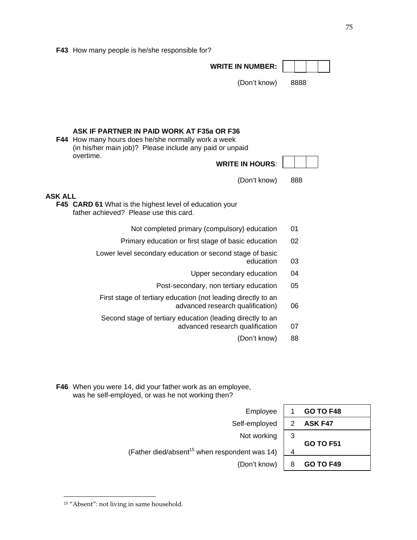|  |  |  |  |  | F43 How many people is he/she responsible for? |  |
|--|--|--|--|--|------------------------------------------------|--|
|--|--|--|--|--|------------------------------------------------|--|

|                | <b>WRITE IN NUMBER:</b>                                                                                                                                              |      |
|----------------|----------------------------------------------------------------------------------------------------------------------------------------------------------------------|------|
|                | (Don't know)                                                                                                                                                         | 8888 |
|                |                                                                                                                                                                      |      |
|                |                                                                                                                                                                      |      |
|                | ASK IF PARTNER IN PAID WORK AT F35a OR F36<br><b>F44</b> How many hours does he/she normally work a week<br>(in his/her main job)? Please include any paid or unpaid |      |
|                | overtime.<br><b>WRITE IN HOURS:</b>                                                                                                                                  |      |
|                | (Don't know)                                                                                                                                                         | 888  |
| <b>ASK ALL</b> | F45 CARD 61 What is the highest level of education your<br>father achieved? Please use this card.                                                                    |      |
|                | Not completed primary (compulsory) education                                                                                                                         | 01   |
|                | Primary education or first stage of basic education                                                                                                                  | 02   |
|                | Lower level secondary education or second stage of basic<br>education                                                                                                | 03   |
|                | Upper secondary education                                                                                                                                            | 04   |
|                | Post-secondary, non tertiary education                                                                                                                               | 05   |
|                | First stage of tertiary education (not leading directly to an<br>advanced research qualification)                                                                    | 06   |
|                | Second stage of tertiary education (leading directly to an<br>advanced research qualification                                                                        | 07   |
|                | (Don't know)                                                                                                                                                         | 88   |

 **F46** When you were 14, did your father work as an employee, was he self-employed, or was he not working then?

| Employee                                                  |   | <b>GO TO F48</b> |
|-----------------------------------------------------------|---|------------------|
| Self-employed                                             |   | ASK F47          |
| Not working                                               | 3 | <b>GO TO F51</b> |
| (Father died/absent <sup>15</sup> when respondent was 14) | Δ |                  |
| (Don't know)                                              |   | <b>GO TO F49</b> |

j 15 "Absent": not living in same household.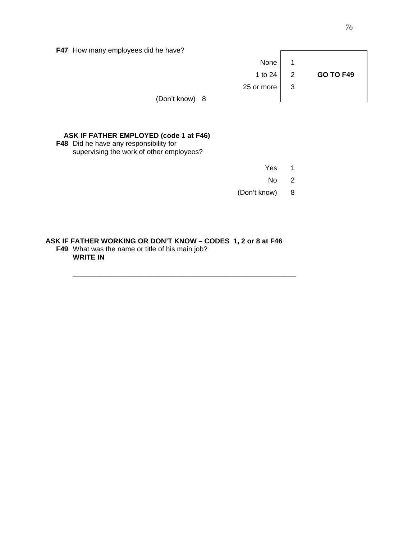**F47** How many employees did he have?

|                | None               |                         |                  |
|----------------|--------------------|-------------------------|------------------|
|                | 1 to 24 $\vert$ 2  |                         | <b>GO TO F49</b> |
|                | 25 or more $\vert$ | $\overline{\mathbf{3}}$ |                  |
| (Don't know) 8 |                    |                         |                  |

 $\overline{a}$ 

# **ASK IF FATHER EMPLOYED (code 1 at F46)**

 **F48** Did he have any responsibility for supervising the work of other employees?

| Yes 1           |  |
|-----------------|--|
| No <sub>2</sub> |  |
| (Don't know) 8  |  |

### **ASK IF FATHER WORKING OR DON'T KNOW – CODES 1, 2 or 8 at F46 F49** What was the name or title of his main job?  **WRITE IN**

 **\_\_\_\_\_\_\_\_\_\_\_\_\_\_\_\_\_\_\_\_\_\_\_\_\_\_\_\_\_\_\_\_\_\_\_\_\_\_\_\_\_\_\_\_\_\_\_\_\_\_\_\_\_\_\_\_\_**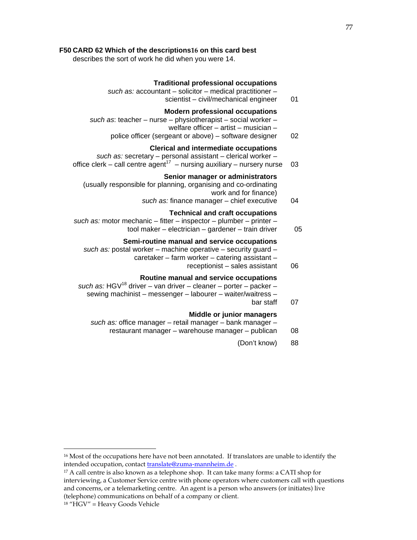### **F50 CARD 62 Which of the descriptions16 on this card best**

describes the sort of work he did when you were 14.

#### **Traditional professional occupations**

- such as: accountant solicitor medical practitioner scientist – civil/mechanical engineer 01
	-

# **Modern professional occupations**

- such as: teacher nurse physiotherapist social worker
	- welfare officer artist musician –
	- police officer (sergeant or above) software designer 02

### **Clerical and intermediate occupations**

 such as: secretary – personal assistant – clerical worker – office clerk – call centre agent<sup>17</sup> – nursing auxiliary – nursery nurse 03

# **Senior manager or administrators**

 (usually responsible for planning, organising and co-ordinating work and for finance)

such as: finance manager – chief executive 04

# **Technical and craft occupations**

- such as: motor mechanic fitter inspector plumber printer
	- tool maker electrician gardener train driver 05

### **Semi-routine manual and service occupations**

- such as: postal worker machine operative security guard
	- caretaker farm worker catering assistant
		- receptionist sales assistant 06

# **Routine manual and service occupations**

- such as: HGV<sup>18</sup> driver van driver cleaner porter packer sewing machinist – messenger – labourer – waiter/waitress – bar staff and the staff of the staff of the staff of the staff of the staff of the staff of the staff of the staff of the staff of the staff of the staff of the staff of the staff of the staff of the staff of the staff of
	-

# **Middle or junior managers**

- such as: office manager retail manager bank manager
	- restaurant manager warehouse manager publican 08
		- (Don't know) 88

j

<sup>&</sup>lt;sup>16</sup> Most of the occupations here have not been annotated. If translators are unable to identify the intended occupation, contact translate@zuma-mannheim.de .

<sup>&</sup>lt;sup>17</sup> A call centre is also known as a telephone shop. It can take many forms: a CATI shop for interviewing, a Customer Service centre with phone operators where customers call with questions and concerns, or a telemarketing centre. An agent is a person who answers (or initiates) live (telephone) communications on behalf of a company or client.

<sup>18</sup> "HGV" = Heavy Goods Vehicle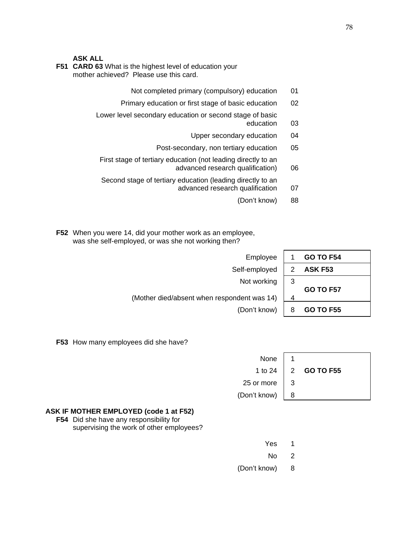#### **ASK ALL**

- **F51 CARD 63** What is the highest level of education your mother achieved? Please use this card.
	- Not completed primary (compulsory) education 01
	- Primary education or first stage of basic education 02

Lower level secondary education or second stage of basic

- education 03
- Upper secondary education 04
- Post-secondary, non tertiary education 05

 First stage of tertiary education (not leading directly to an advanced research qualification) 06

 Second stage of tertiary education (leading directly to an advanced research qualification 07

(Don't know) 88

 **F52** When you were 14, did your mother work as an employee, was she self-employed, or was she not working then?

| Employee                                    |   | <b>GO TO F54</b> |
|---------------------------------------------|---|------------------|
| Self-employed                               |   | ASK F53          |
| Not working                                 | 3 |                  |
| (Mother died/absent when respondent was 14) | Δ | <b>GO TO F57</b> |
| (Don't know)                                | 8 | <b>GO TO F55</b> |

**F53** How many employees did she have?

| None                 |                            |  |
|----------------------|----------------------------|--|
|                      | 1 to 24 2 <b>GO TO F55</b> |  |
| 25 or more $\vert$ 3 |                            |  |
| $(Don't know)$   8   |                            |  |

#### **ASK IF MOTHER EMPLOYED (code 1 at F52)**

 **F54** Did she have any responsibility for supervising the work of other employees?

| Yes 1 |  |
|-------|--|
| No 2  |  |

- 
- (Don't know) 8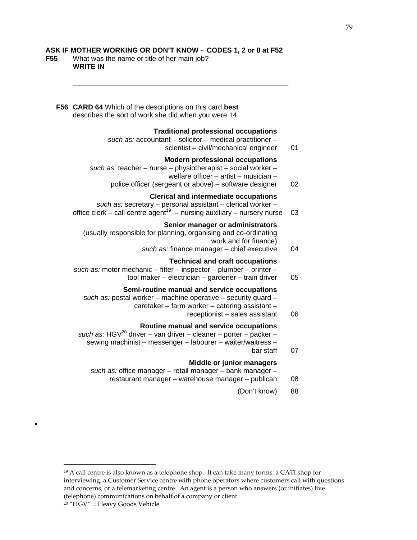### **ASK IF MOTHER WORKING OR DON'T KNOW - CODES 1, 2 or 8 at F52**

 **\_\_\_\_\_\_\_\_\_\_\_\_\_\_\_\_\_\_\_\_\_\_\_\_\_\_\_\_\_\_\_\_\_\_\_\_\_\_\_\_\_\_\_\_\_\_\_\_\_\_\_\_\_\_\_** 

**F55** What was the name or title of her main job?  **WRITE IN** 

| F56 CARD 64 Which of the descriptions on this card best<br>describes the sort of work she did when you were 14.                                                                                           |    |
|-----------------------------------------------------------------------------------------------------------------------------------------------------------------------------------------------------------|----|
| <b>Traditional professional occupations</b><br>such as: accountant - solicitor - medical practitioner -<br>scientist - civil/mechanical engineer                                                          | 01 |
| <b>Modern professional occupations</b><br>such as: teacher - nurse - physiotherapist - social worker -<br>welfare officer - artist - musician -<br>police officer (sergeant or above) – software designer | 02 |
| <b>Clerical and intermediate occupations</b><br>such as: secretary - personal assistant - clerical worker -<br>office clerk - call centre agent <sup>19</sup> - nursing auxiliary - nursery nurse         | 03 |
| Senior manager or administrators<br>(usually responsible for planning, organising and co-ordinating<br>work and for finance)<br>such as: finance manager - chief executive                                | 04 |
| <b>Technical and craft occupations</b><br>such as: motor mechanic - fitter - inspector - plumber - printer -<br>tool maker - electrician - gardener - train driver                                        | 05 |
| Semi-routine manual and service occupations<br>such as: postal worker - machine operative - security guard -<br>caretaker - farm worker - catering assistant -<br>receptionist - sales assistant          | 06 |
| Routine manual and service occupations<br>such as: HGV <sup>20</sup> driver – van driver – cleaner – porter – packer –<br>sewing machinist - messenger - labourer - waiter/waitress -<br>bar staff        | 07 |
| Middle or junior managers<br>such as: office manager - retail manager - bank manager -<br>restaurant manager - warehouse manager - publican                                                               | 08 |
| (Don't know)                                                                                                                                                                                              | 88 |
|                                                                                                                                                                                                           |    |

1 <sup>19</sup> A call centre is also known as a telephone shop. It can take many forms: a CATI shop for interviewing, a Customer Service centre with phone operators where customers call with questions and concerns, or a telemarketing centre. An agent is a person who answers (or initiates) live (telephone) communications on behalf of a company or client.

•

<sup>20</sup> "HGV" = Heavy Goods Vehicle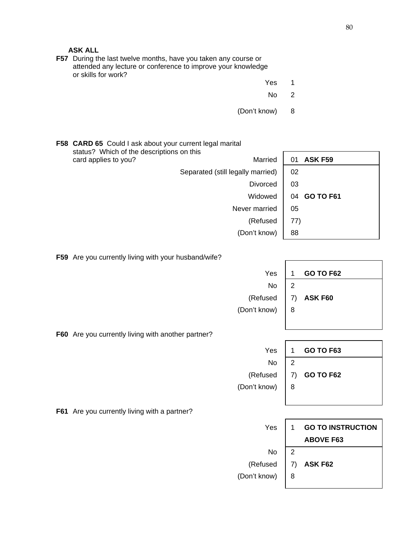**ASK ALL** 

 **F57** During the last twelve months, have you taken any course or attended any lecture or conference to improve your knowledge or skills for work?

- **The Contract of Contract Contract of Contract Contract Contract Only 1980**
- No 2

 $\overline{1}$ 

(Don't know) 8

 **F58 CARD 65** Could I ask about your current legal marital status? Which of the descriptions on this card applies to you? The Card applies to you? Separated (still legally married) | 02 Divorced  $\vert$  03 Widowed | 04 **GO TO F61** Never married  $\vert$  05 (Refused  $| 77$ ) (Don't know) | 88

**F59** Are you currently living with your husband/wife?

| Yes                                                | 1              | <b>GO TO F62</b>         |
|----------------------------------------------------|----------------|--------------------------|
| No                                                 | $\mathbf{2}$   |                          |
| (Refused                                           | 7)             | ASK F60                  |
| (Don't know)                                       | 8              |                          |
|                                                    |                |                          |
| F60 Are you currently living with another partner? |                |                          |
| Yes                                                | 1              | <b>GO TO F63</b>         |
| No                                                 | $\overline{2}$ |                          |
| (Refused                                           | 7)             | <b>GO TO F62</b>         |
| (Don't know)                                       | 8              |                          |
|                                                    |                |                          |
| F61 Are you currently living with a partner?       |                |                          |
| Yes                                                | 1              | <b>GO TO INSTRUCTION</b> |
|                                                    |                | <b>ABOVE F63</b>         |
| No                                                 | $\overline{2}$ |                          |
| (Refused                                           | 7)             | ASK F62                  |
| (Don't know)                                       | 8              |                          |
|                                                    |                |                          |